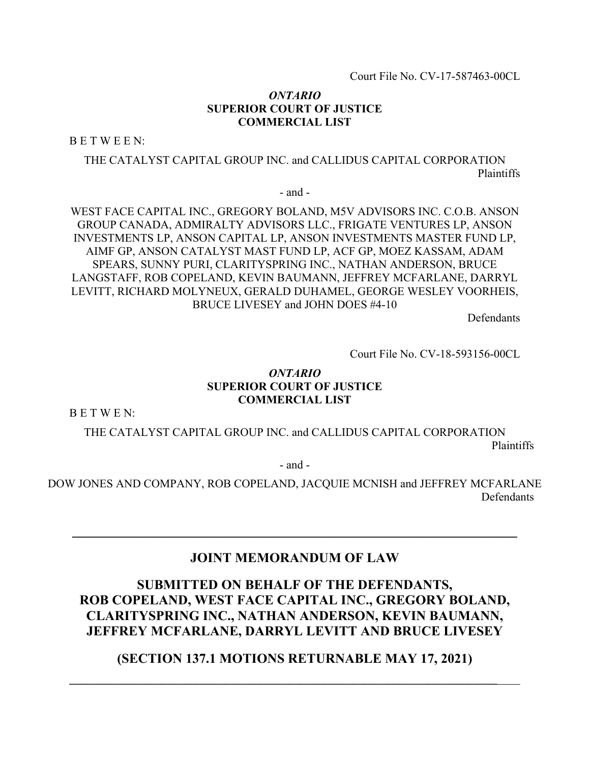Court File No. CV-17-587463-00CL

## *ONTARIO*  **SUPERIOR COURT OF JUSTICE COMMERCIAL LIST**

B E T W E E N:

THE CATALYST CAPITAL GROUP INC. and CALLIDUS CAPITAL CORPORATION Plaintiffs

- and -

WEST FACE CAPITAL INC., GREGORY BOLAND, M5V ADVISORS INC. C.O.B. ANSON GROUP CANADA, ADMIRALTY ADVISORS LLC., FRIGATE VENTURES LP, ANSON INVESTMENTS LP, ANSON CAPITAL LP, ANSON INVESTMENTS MASTER FUND LP, AIMF GP, ANSON CATALYST MAST FUND LP, ACF GP, MOEZ KASSAM, ADAM SPEARS, SUNNY PURI, CLARITYSPRING INC., NATHAN ANDERSON, BRUCE LANGSTAFF, ROB COPELAND, KEVIN BAUMANN, JEFFREY MCFARLANE, DARRYL LEVITT, RICHARD MOLYNEUX, GERALD DUHAMEL, GEORGE WESLEY VOORHEIS, BRUCE LIVESEY and JOHN DOES #4-10

Defendants

Court File No. CV-18-593156-00CL

## *ONTARIO*  **SUPERIOR COURT OF JUSTICE COMMERCIAL LIST**

B E T W E N:

THE CATALYST CAPITAL GROUP INC. and CALLIDUS CAPITAL CORPORATION Plaintiffs

- and -

DOW JONES AND COMPANY, ROB COPELAND, JACQUIE MCNISH and JEFFREY MCFARLANE Defendants

# **JOINT MEMORANDUM OF LAW**

# **SUBMITTED ON BEHALF OF THE DEFENDANTS, ROB COPELAND, WEST FACE CAPITAL INC., GREGORY BOLAND, CLARITYSPRING INC., NATHAN ANDERSON, KEVIN BAUMANN, JEFFREY MCFARLANE, DARRYL LEVITT AND BRUCE LIVESEY**

**(SECTION 137.1 MOTIONS RETURNABLE MAY 17, 2021)** 

**\_\_\_\_\_\_\_\_\_\_\_\_\_\_\_\_\_\_\_\_\_\_\_\_\_\_\_\_\_\_\_\_\_\_\_\_\_\_\_\_\_\_\_\_\_\_\_\_\_\_\_\_\_\_\_\_\_\_\_\_\_\_\_\_\_\_\_\_\_\_\_\_\_\_**\_\_\_\_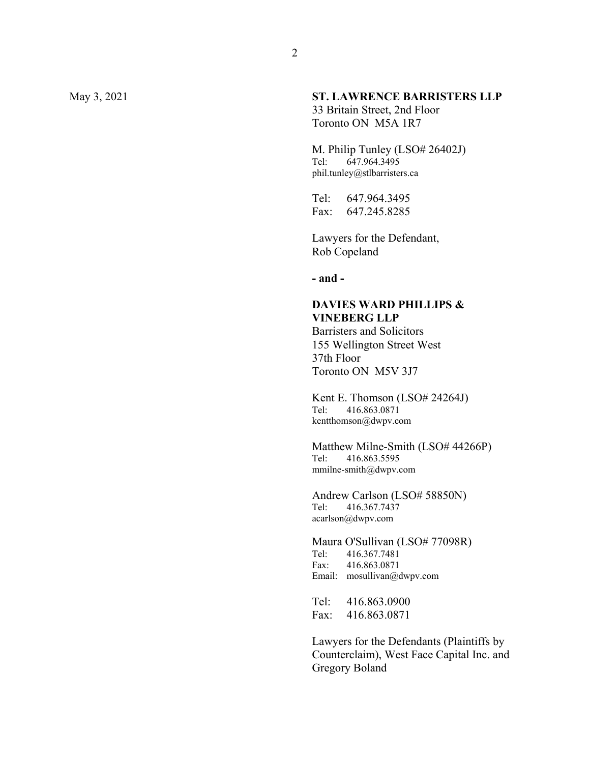## May 3, 2021 **ST. LAWRENCE BARRISTERS LLP**

33 Britain Street, 2nd Floor Toronto ON M5A 1R7

M. Philip Tunley (LSO# 26402J) Tel: 647.964.3495 phil.tunley@stlbarristers.ca

Tel: 647.964.3495 Fax: 647.245.8285

Lawyers for the Defendant, Rob Copeland

**- and -** 

## **DAVIES WARD PHILLIPS & VINEBERG LLP**

Barristers and Solicitors 155 Wellington Street West 37th Floor Toronto ON M5V 3J7

Kent E. Thomson (LSO# 24264J) Tel: 416.863.0871 kentthomson@dwpv.com

Matthew Milne-Smith (LSO# 44266P) Tel: 416.863.5595 mmilne-smith@dwpv.com

Andrew Carlson (LSO# 58850N) Tel: 416.367.7437 acarlson@dwpv.com

Maura O'Sullivan (LSO# 77098R)<br>Tel: 416.367.7481 Tel: 416.367.7481 Fax: 416.863.0871 Email: mosullivan@dwpv.com

Tel: 416.863.0900 Fax: 416.863.0871

Lawyers for the Defendants (Plaintiffs by Counterclaim), West Face Capital Inc. and Gregory Boland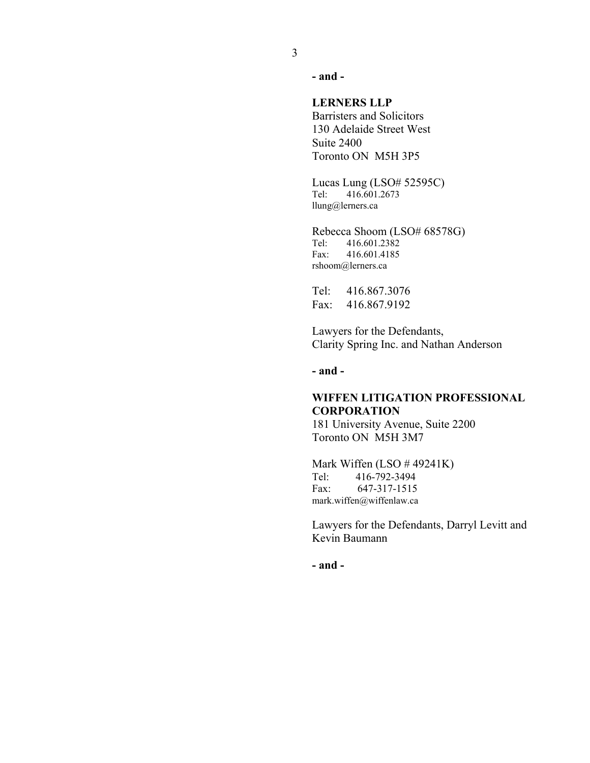**- and -**

#### **LERNERS LLP**

Barristers and Solicitors 130 Adelaide Street West Suite 2400 Toronto ON M5H 3P5

Lucas Lung (LSO# 52595C) Tel: 416.601.2673 llung@lerners.ca

Rebecca Shoom (LSO# 68578G) Tel: 416.601.2382 Fax: 416.601.4185 rshoom@lerners.ca

Tel: 416.867.3076 Fax: 416.867.9192

Lawyers for the Defendants, Clarity Spring Inc. and Nathan Anderson

**- and -**

## **WIFFEN LITIGATION PROFESSIONAL CORPORATION**

181 University Avenue, Suite 2200 Toronto ON M5H 3M7

Mark Wiffen (LSO # 49241K) Tel: 416-792-3494 Fax: 647-317-1515 mark.wiffen@wiffenlaw.ca

Lawyers for the Defendants, Darryl Levitt and Kevin Baumann

**- and -**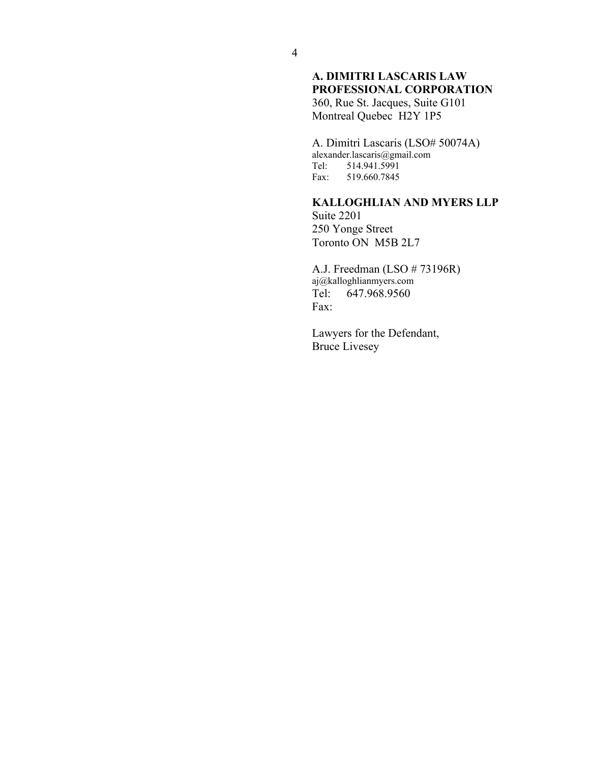## **A. DIMITRI LASCARIS LAW PROFESSIONAL CORPORATION**

360, Rue St. Jacques, Suite G101 Montreal Quebec H2Y 1P5

A. Dimitri Lascaris (LSO# 50074A) alexander.lascaris@gmail.com Tel: 514.941.5991<br>Fax: 519.660.7845 519.660.7845

**KALLOGHLIAN AND MYERS LLP** 

Suite 2201 250 Yonge Street Toronto ON M5B 2L7

A.J. Freedman (LSO # 73196R) aj@kalloghlianmyers.com Tel: 647.968.9560 Fax:

Lawyers for the Defendant, Bruce Livesey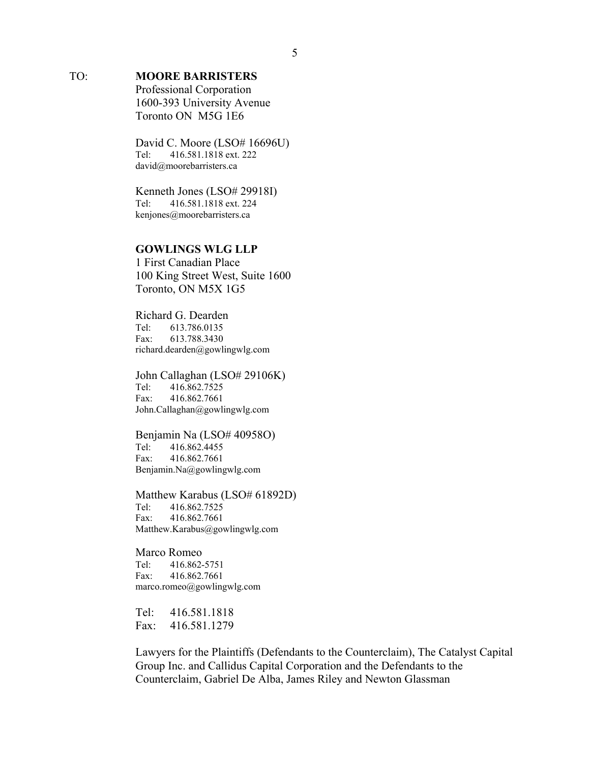## TO: **MOORE BARRISTERS**

Professional Corporation 1600-393 University Avenue Toronto ON M5G 1E6

David C. Moore (LSO# 16696U) Tel: 416.581.1818 ext. 222 david@moorebarristers.ca

Kenneth Jones (LSO# 29918I)<br>Tel: 416.581.1818 ext. 224 Tel: 416.581.1818 ext. 224 kenjones@moorebarristers.ca

## **GOWLINGS WLG LLP**

1 First Canadian Place 100 King Street West, Suite 1600 Toronto, ON M5X 1G5

Richard G. Dearden Tel: 613.786.0135 Fax: 613.788.3430 richard.dearden@gowlingwlg.com

John Callaghan (LSO# 29106K) Tel: 416.862.7525 Fax: 416.862.7661 John.Callaghan@gowlingwlg.com

Benjamin Na (LSO# 40958O) Tel: 416.862.4455 Fax: 416.862.7661 Benjamin.Na@gowlingwlg.com

Matthew Karabus (LSO# 61892D) Tel: 416.862.7525 Fax: 416.862.7661 Matthew.Karabus@gowlingwlg.com

Marco Romeo Tel: 416.862-5751 Fax: 416.862.7661 marco.romeo@gowlingwlg.com

Tel: 416.581.1818 Fax: 416.581.1279

Lawyers for the Plaintiffs (Defendants to the Counterclaim), The Catalyst Capital Group Inc. and Callidus Capital Corporation and the Defendants to the Counterclaim, Gabriel De Alba, James Riley and Newton Glassman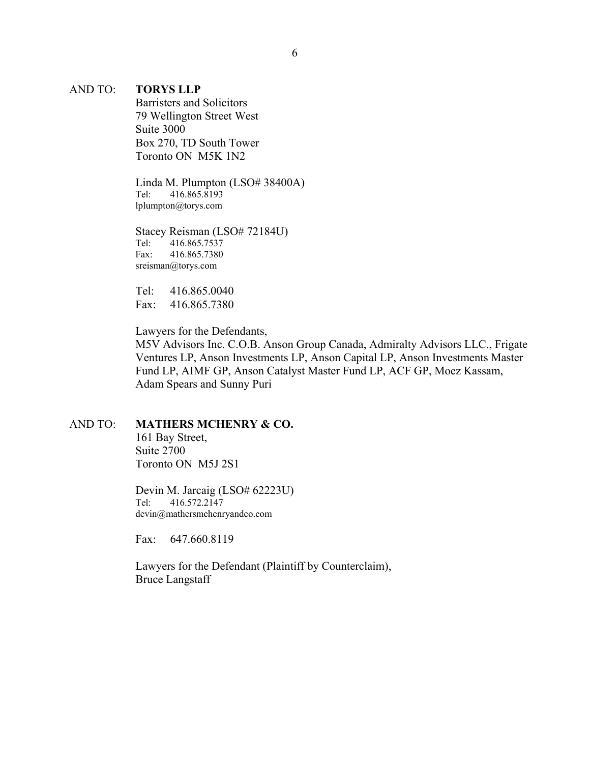#### AND TO: **TORYS LLP**

Barristers and Solicitors 79 Wellington Street West Suite 3000 Box 270, TD South Tower Toronto ON M5K 1N2

Linda M. Plumpton (LSO# 38400A) Tel: 416.865.8193 lplumpton@torys.com

Stacey Reisman (LSO# 72184U) Tel: 416.865.7537 Fax: 416.865.7380 sreisman@torys.com

Tel: 416.865.0040 Fax: 416.865.7380

Lawyers for the Defendants,

M5V Advisors Inc. C.O.B. Anson Group Canada, Admiralty Advisors LLC., Frigate Ventures LP, Anson Investments LP, Anson Capital LP, Anson Investments Master Fund LP, AIMF GP, Anson Catalyst Master Fund LP, ACF GP, Moez Kassam, Adam Spears and Sunny Puri

## AND TO: **MATHERS MCHENRY & CO.**

161 Bay Street, Suite 2700 Toronto ON M5J 2S1

Devin M. Jarcaig (LSO# 62223U) Tel: 416.572.2147 devin@mathersmchenryandco.com

Fax: 647.660.8119

Lawyers for the Defendant (Plaintiff by Counterclaim), Bruce Langstaff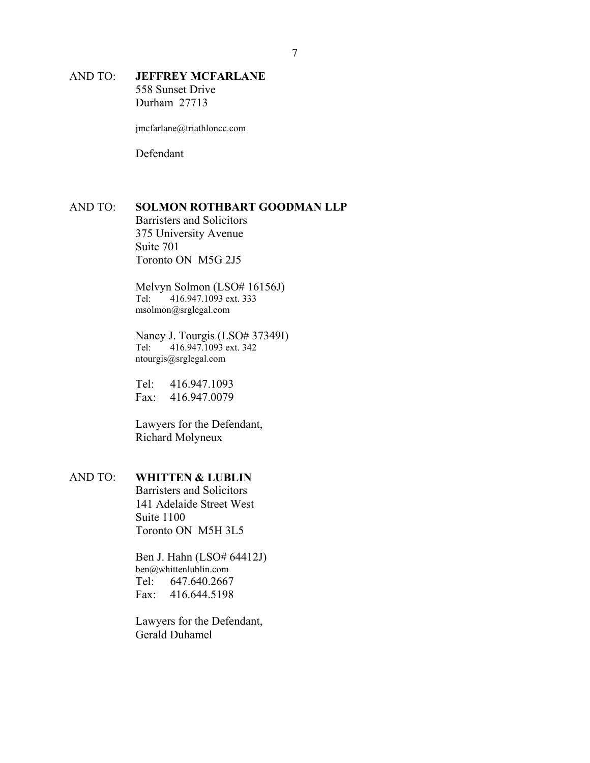### AND TO: **JEFFREY MCFARLANE**  558 Sunset Drive

Durham 27713

jmcfarlane@triathloncc.com

Defendant

#### AND TO: **SOLMON ROTHBART GOODMAN LLP**

Barristers and Solicitors 375 University Avenue Suite 701 Toronto ON M5G 2J5

Melvyn Solmon (LSO# 16156J) Tel: 416.947.1093 ext. 333 msolmon@srglegal.com

Nancy J. Tourgis (LSO# 37349I) Tel: 416.947.1093 ext. 342 ntourgis@srglegal.com

Tel: 416.947.1093 Fax: 416.947.0079

Lawyers for the Defendant, Richard Molyneux

## AND TO: **WHITTEN & LUBLIN**

Barristers and Solicitors 141 Adelaide Street West Suite 1100 Toronto ON M5H 3L5

Ben J. Hahn (LSO# 64412J) ben@whittenlublin.com Tel: 647.640.2667 Fax: 416.644.5198

Lawyers for the Defendant, Gerald Duhamel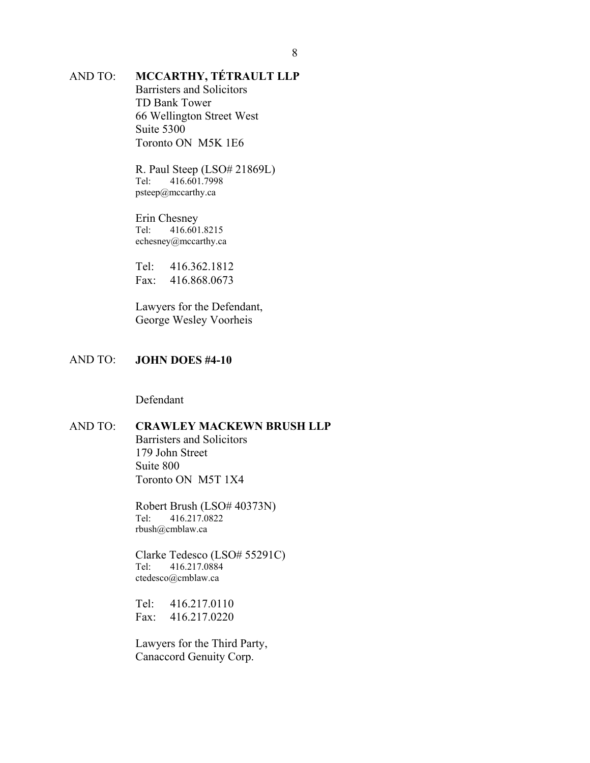# AND TO: **MCCARTHY, TÉTRAULT LLP**

Barristers and Solicitors TD Bank Tower 66 Wellington Street West Suite 5300 Toronto ON M5K 1E6

R. Paul Steep (LSO# 21869L) Tel: 416.601.7998 psteep@mccarthy.ca

Erin Chesney Tel: 416.601.8215 echesney@mccarthy.ca

Tel: 416.362.1812 Fax: 416.868.0673

Lawyers for the Defendant, George Wesley Voorheis

#### AND TO: **JOHN DOES #4-10**

Defendant

## AND TO: **CRAWLEY MACKEWN BRUSH LLP**

Barristers and Solicitors 179 John Street Suite 800 Toronto ON M5T 1X4

Robert Brush (LSO# 40373N) Tel: 416.217.0822 rbush@cmblaw.ca

Clarke Tedesco (LSO# 55291C)<br>Tel: 416.217.0884 Tel: 416.217.0884 ctedesco@cmblaw.ca

Tel: 416.217.0110 Fax: 416.217.0220

Lawyers for the Third Party, Canaccord Genuity Corp.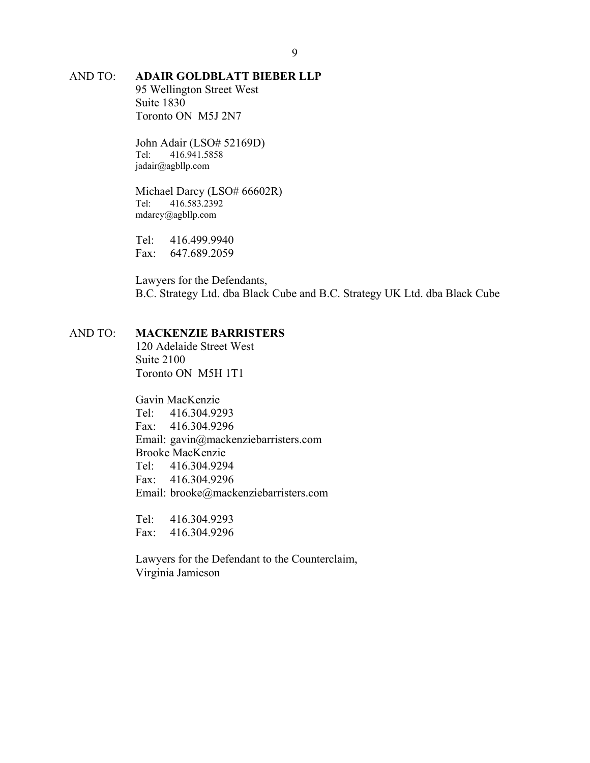# AND TO: **ADAIR GOLDBLATT BIEBER LLP**

95 Wellington Street West Suite 1830 Toronto ON M5J 2N7

John Adair (LSO# 52169D) Tel: 416.941.5858 jadair@agbllp.com

Michael Darcy (LSO# 66602R) Tel: 416.583.2392 mdarcy@agbllp.com

Tel: 416.499.9940 Fax: 647.689.2059

Lawyers for the Defendants, B.C. Strategy Ltd. dba Black Cube and B.C. Strategy UK Ltd. dba Black Cube

## AND TO: **MACKENZIE BARRISTERS**

120 Adelaide Street West Suite 2100 Toronto ON M5H 1T1

Gavin MacKenzie

Tel: 416.304.9293 Fax: 416.304.9296 Email: gavin@mackenziebarristers.com Brooke MacKenzie Tel: 416.304.9294 Fax: 416.304.9296 Email: brooke@mackenziebarristers.com

Tel: 416.304.9293 Fax: 416.304.9296

Lawyers for the Defendant to the Counterclaim, Virginia Jamieson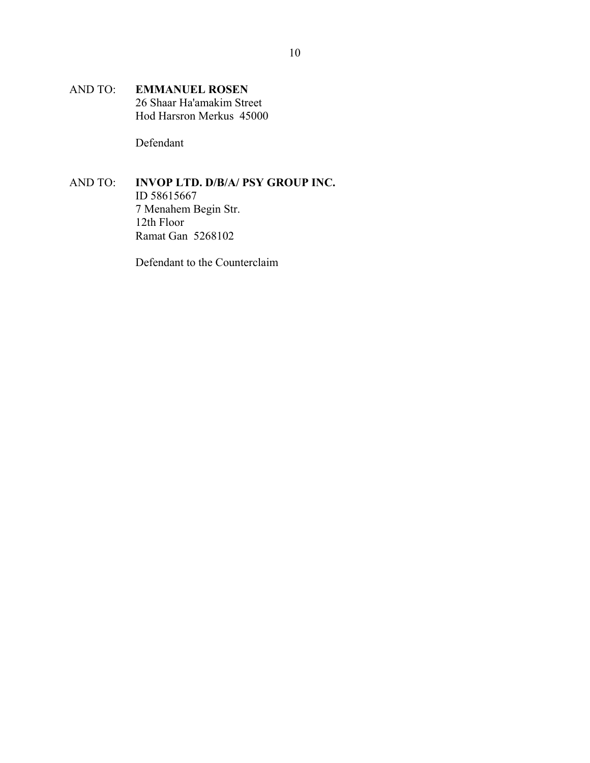AND TO: **EMMANUEL ROSEN**  26 Shaar Ha'amakim Street Hod Harsron Merkus 45000

Defendant

#### AND TO: **INVOP LTD. D/B/A/ PSY GROUP INC.**  ID 58615667 7 Menahem Begin Str. 12th Floor Ramat Gan 5268102

Defendant to the Counterclaim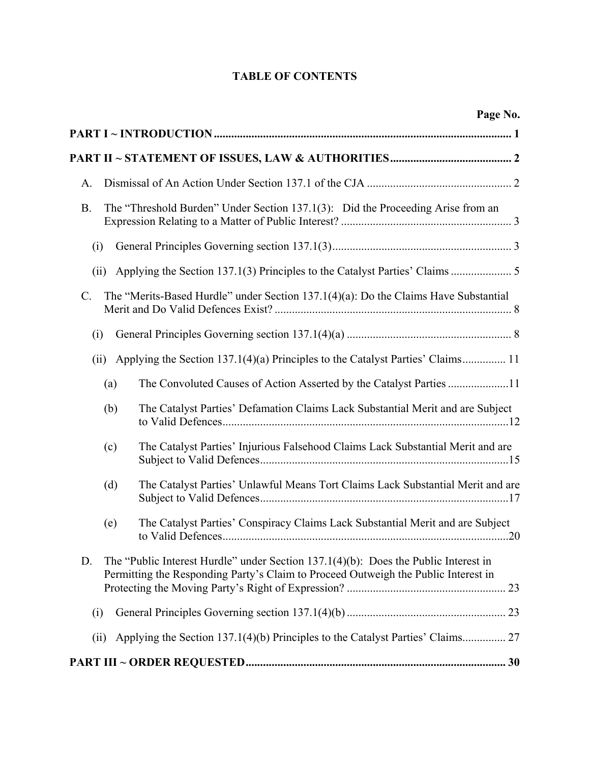# **TABLE OF CONTENTS**

| Page No.                                                                                                                                                                           |
|------------------------------------------------------------------------------------------------------------------------------------------------------------------------------------|
|                                                                                                                                                                                    |
|                                                                                                                                                                                    |
| A.                                                                                                                                                                                 |
| The "Threshold Burden" Under Section 137.1(3): Did the Proceeding Arise from an<br><b>B.</b>                                                                                       |
| (i)                                                                                                                                                                                |
| (ii)                                                                                                                                                                               |
| The "Merits-Based Hurdle" under Section 137.1(4)(a): Do the Claims Have Substantial<br>$\mathcal{C}$ .                                                                             |
| (i)                                                                                                                                                                                |
| Applying the Section 137.1(4)(a) Principles to the Catalyst Parties' Claims 11<br>(ii)                                                                                             |
| The Convoluted Causes of Action Asserted by the Catalyst Parties 11<br>(a)                                                                                                         |
| The Catalyst Parties' Defamation Claims Lack Substantial Merit and are Subject<br>(b)                                                                                              |
| The Catalyst Parties' Injurious Falsehood Claims Lack Substantial Merit and are<br>(c)                                                                                             |
| The Catalyst Parties' Unlawful Means Tort Claims Lack Substantial Merit and are<br>(d)                                                                                             |
| The Catalyst Parties' Conspiracy Claims Lack Substantial Merit and are Subject<br>(e)                                                                                              |
| D.<br>The "Public Interest Hurdle" under Section $137.1(4)(b)$ : Does the Public Interest in<br>Permitting the Responding Party's Claim to Proceed Outweigh the Public Interest in |
| (i)                                                                                                                                                                                |
| Applying the Section 137.1(4)(b) Principles to the Catalyst Parties' Claims 27<br>(ii)                                                                                             |
|                                                                                                                                                                                    |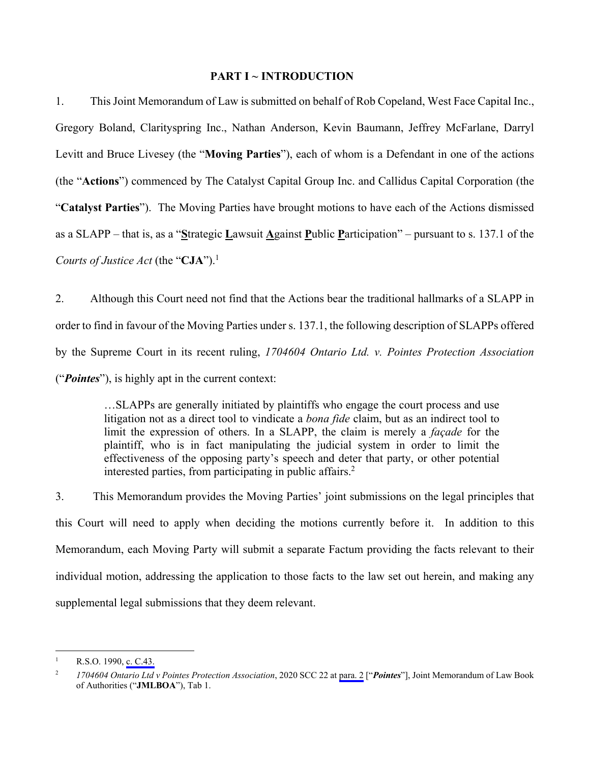#### **PART I ~ INTRODUCTION**

1. This Joint Memorandum of Law is submitted on behalf of Rob Copeland, West Face Capital Inc., Gregory Boland, Clarityspring Inc., Nathan Anderson, Kevin Baumann, Jeffrey McFarlane, Darryl Levitt and Bruce Livesey (the "**Moving Parties**"), each of whom is a Defendant in one of the actions (the "**Actions**") commenced by The Catalyst Capital Group Inc. and Callidus Capital Corporation (the "**Catalyst Parties**"). The Moving Parties have brought motions to have each of the Actions dismissed as a SLAPP – that is, as a "**S**trategic **L**awsuit **A**gainst **P**ublic **P**articipation" – pursuant to s. 137.1 of the *Courts of Justice Act* (the "**CJA**").<sup>1</sup>

2. Although this Court need not find that the Actions bear the traditional hallmarks of a SLAPP in order to find in favour of the Moving Parties under s. 137.1, the following description of SLAPPs offered by the Supreme Court in its recent ruling, *1704604 Ontario Ltd. v. Pointes Protection Association* ("*Pointes*"), is highly apt in the current context:

> …SLAPPs are generally initiated by plaintiffs who engage the court process and use litigation not as a direct tool to vindicate a *bona fide* claim, but as an indirect tool to limit the expression of others. In a SLAPP, the claim is merely a *façade* for the plaintiff, who is in fact manipulating the judicial system in order to limit the effectiveness of the opposing party's speech and deter that party, or other potential interested parties, from participating in public affairs.<sup>2</sup>

3. This Memorandum provides the Moving Parties' joint submissions on the legal principles that this Court will need to apply when deciding the motions currently before it. In addition to this Memorandum, each Moving Party will submit a separate Factum providing the facts relevant to their individual motion, addressing the application to those facts to the law set out herein, and making any supplemental legal submissions that they deem relevant.

 $\frac{1}{1}$ R.S.O. 1990, [c. C.43.](#page-47-0) 

<sup>2</sup> *1704604 Ontario Ltd v Pointes Protection Association*, 2020 SCC 22 at [para. 2](#page-30-0) ["*Pointes*"], Joint Memorandum of Law Book of Authorities ("**JMLBOA**"), Tab 1.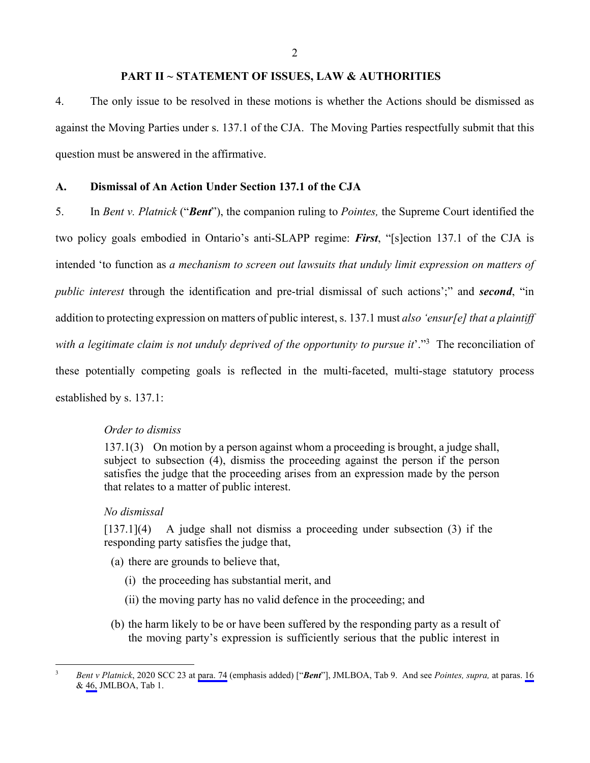2

#### **PART II ~ STATEMENT OF ISSUES, LAW & AUTHORITIES**

4. The only issue to be resolved in these motions is whether the Actions should be dismissed as against the Moving Parties under s. 137.1 of the CJA. The Moving Parties respectfully submit that this question must be answered in the affirmative.

## **A. Dismissal of An Action Under Section 137.1 of the CJA**

5. In *Bent v. Platnick* ("*Bent*"), the companion ruling to *Pointes,* the Supreme Court identified the two policy goals embodied in Ontario's anti-SLAPP regime: *First*, "[s]ection 137.1 of the CJA is intended 'to function as *a mechanism to screen out lawsuits that unduly limit expression on matters of public interest* through the identification and pre-trial dismissal of such actions';" and *second*, "in addition to protecting expression on matters of public interest, s. 137.1 must *also 'ensur[e] that a plaintiff*  with a legitimate claim is not unduly deprived of the opportunity to pursue it'."<sup>3</sup> The reconciliation of these potentially competing goals is reflected in the multi-faceted, multi-stage statutory process established by s. 137.1:

#### *Order to dismiss*

137.1(3) On motion by a person against whom a proceeding is brought, a judge shall, subject to subsection (4), dismiss the proceeding against the person if the person satisfies the judge that the proceeding arises from an expression made by the person that relates to a matter of public interest.

#### *No dismissal*

[137.1](4) A judge shall not dismiss a proceeding under subsection (3) if the responding party satisfies the judge that,

- (a) there are grounds to believe that,
	- (i) the proceeding has substantial merit, and
	- (ii) the moving party has no valid defence in the proceeding; and
- (b) the harm likely to be or have been suffered by the responding party as a result of the moving party's expression is sufficiently serious that the public interest in

<sup>&</sup>lt;sup>2</sup><br>3 *Bent v Platnick*, 2020 SCC 23 at [para. 74](#page-407-0) (emphasis added) ["*Bent*"], JMLBOA, Tab 9. And see *Pointes, supra,* at paras. [16](#page-37-0) & [46,](#page-49-0) JMLBOA, Tab 1.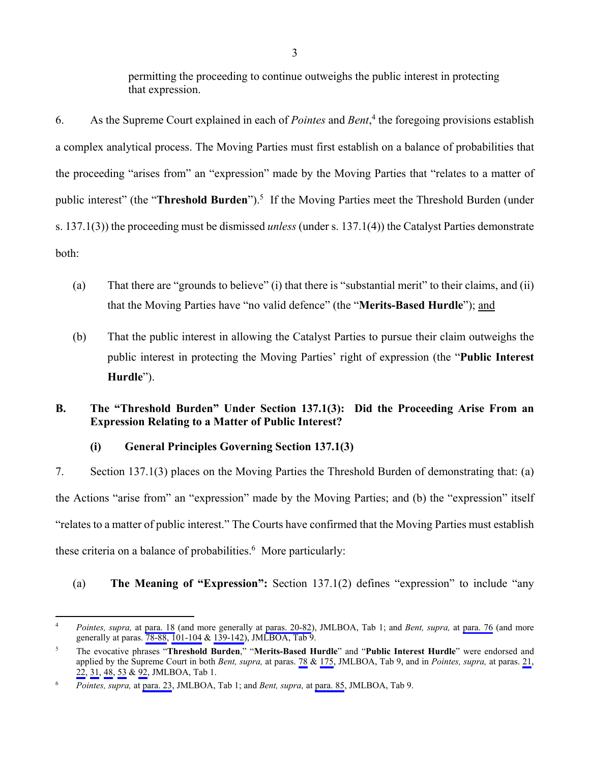permitting the proceeding to continue outweighs the public interest in protecting that expression.

6. As the Supreme Court explained in each of *Pointes* and *Bent*, 4 the foregoing provisions establish a complex analytical process. The Moving Parties must first establish on a balance of probabilities that the proceeding "arises from" an "expression" made by the Moving Parties that "relates to a matter of public interest" (the "Threshold Burden").<sup>5</sup> If the Moving Parties meet the Threshold Burden (under s. 137.1(3)) the proceeding must be dismissed *unless* (under s. 137.1(4)) the Catalyst Parties demonstrate both:

- (a) That there are "grounds to believe" (i) that there is "substantial merit" to their claims, and (ii) that the Moving Parties have "no valid defence" (the "**Merits-Based Hurdle**"); and
- (b) That the public interest in allowing the Catalyst Parties to pursue their claim outweighs the public interest in protecting the Moving Parties' right of expression (the "**Public Interest Hurdle**").

## **B. The "Threshold Burden" Under Section 137.1(3): Did the Proceeding Arise From an Expression Relating to a Matter of Public Interest?**

## **(i) General Principles Governing Section 137.1(3)**

7. Section 137.1(3) places on the Moving Parties the Threshold Burden of demonstrating that: (a) the Actions "arise from" an "expression" made by the Moving Parties; and (b) the "expression" itself "relates to a matter of public interest." The Courts have confirmed that the Moving Parties must establish these criteria on a balance of probabilities.<sup>6</sup> More particularly:

## (a) **The Meaning of "Expression":** Section 137.1(2) defines "expression" to include "any

 $\overline{a}$ 4 *Pointes, supra,* at [para. 18](#page-38-0) (and more generally at [paras. 20-82](#page-39-0)), JMLBOA, Tab 1; and *Bent, supra,* at [para. 76](#page-408-0) (and more generally at paras. [78-88](#page-409-0), [101-104](#page-416-0) & [139-142](#page-438-0)), JMLBOA, Tab 9.

<sup>5</sup> The evocative phrases "**Threshold Burden**," "**Merits-Based Hurdle**" and "**Public Interest Hurdle**" were endorsed and applied by the Supreme Court in both *Bent, supra,* at paras. [78](#page-409-0) & [175](#page-454-0), JMLBOA, Tab 9, and in *Pointes, supra,* at paras. [21,](#page-39-0) [22,](#page-39-0) [31,](#page-43-0) [48](#page-51-0), [53](#page-54-0) & [92](#page-71-0), JMLBOA, Tab 1.

<sup>6</sup> *Pointes, supra,* at [para. 23,](#page-39-0) JMLBOA, Tab 1; and *Bent, supra,* at [para. 85,](#page-411-0) JMLBOA, Tab 9.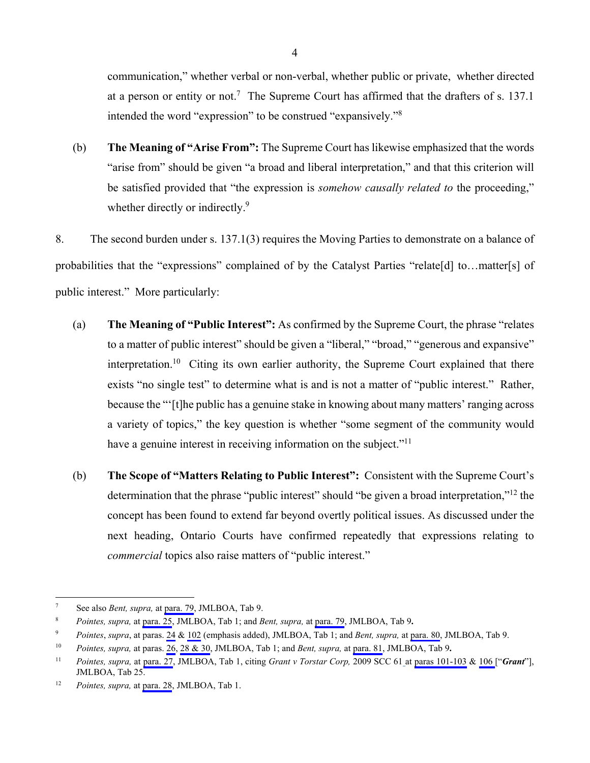communication," whether verbal or non-verbal, whether public or private, whether directed at a person or entity or not.<sup>7</sup> The Supreme Court has affirmed that the drafters of s. 137.1 intended the word "expression" to be construed "expansively."8

(b) **The Meaning of "Arise From":** The Supreme Court has likewise emphasized that the words "arise from" should be given "a broad and liberal interpretation," and that this criterion will be satisfied provided that "the expression is *somehow causally related to* the proceeding," whether directly or indirectly.<sup>9</sup>

8. The second burden under s. 137.1(3) requires the Moving Parties to demonstrate on a balance of probabilities that the "expressions" complained of by the Catalyst Parties "relate[d] to…matter[s] of public interest." More particularly:

- (a) **The Meaning of "Public Interest":** As confirmed by the Supreme Court, the phrase "relates to a matter of public interest" should be given a "liberal," "broad," "generous and expansive" interpretation.<sup>10</sup> Citing its own earlier authority, the Supreme Court explained that there exists "no single test" to determine what is and is not a matter of "public interest." Rather, because the "'[t]he public has a genuine stake in knowing about many matters' ranging across a variety of topics," the key question is whether "some segment of the community would have a genuine interest in receiving information on the subject."<sup>11</sup>
- (b) **The Scope of "Matters Relating to Public Interest":** Consistent with the Supreme Court's determination that the phrase "public interest" should "be given a broad interpretation,"<sup>12</sup> the concept has been found to extend far beyond overtly political issues. As discussed under the next heading, Ontario Courts have confirmed repeatedly that expressions relating to *commercial* topics also raise matters of "public interest."

<sup>-&</sup>lt;br>7 See also *Bent, supra,* at [para. 79](#page-409-0), JMLBOA, Tab 9.

<sup>8</sup> *Pointes, supra,* at [para. 25,](#page-41-0) JMLBOA, Tab 1; and *Bent, supra,* at [para. 79,](#page-409-0) JMLBOA, Tab 9**.**

<sup>9</sup> *Pointes*, *supra*, at paras. [24](#page-40-0) & [102](#page-74-0) (emphasis added), JMLBOA, Tab 1; and *Bent, supra,* at [para. 80,](#page-409-0) JMLBOA, Tab 9.

<sup>10</sup> *Pointes, supra,* at paras. [26](#page-41-0), [28 & 30](#page-42-0), JMLBOA, Tab 1; and *Bent, supra,* at [para. 81](#page-410-0), JMLBOA, Tab 9**.**

<sup>11</sup> *Pointes, supra,* at [para. 27,](#page-41-0) JMLBOA, Tab 1, citing *Grant v Torstar Corp,* 2009 SCC 61 at [paras 101-103](#page-1029-0) & [106 \[](#page-1030-0)"*Grant*"], JMLBOA, Tab 25.

<sup>12</sup> *Pointes, supra,* at [para. 28,](#page-42-0) JMLBOA, Tab 1.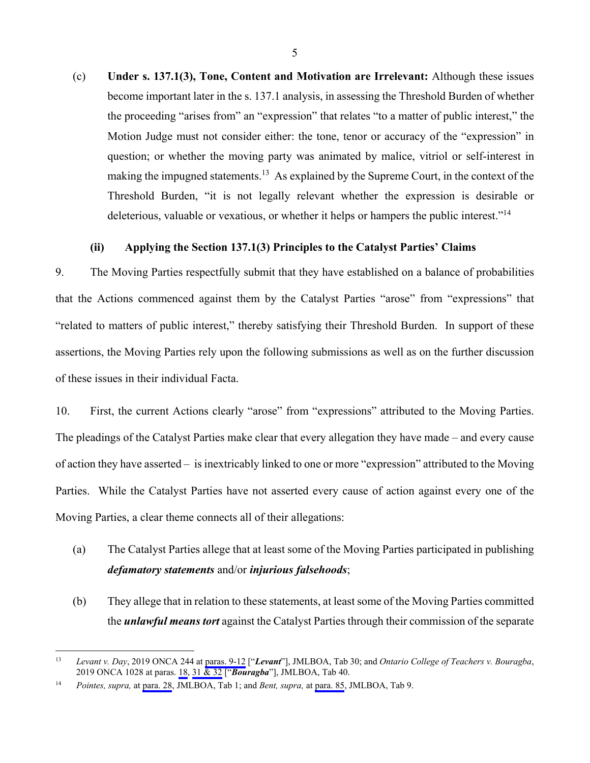(c) **Under s. 137.1(3), Tone, Content and Motivation are Irrelevant:** Although these issues become important later in the s. 137.1 analysis, in assessing the Threshold Burden of whether the proceeding "arises from" an "expression" that relates "to a matter of public interest," the Motion Judge must not consider either: the tone, tenor or accuracy of the "expression" in question; or whether the moving party was animated by malice, vitriol or self-interest in making the impugned statements.<sup>13</sup> As explained by the Supreme Court, in the context of the Threshold Burden, "it is not legally relevant whether the expression is desirable or deleterious, valuable or vexatious, or whether it helps or hampers the public interest."14

#### **(ii) Applying the Section 137.1(3) Principles to the Catalyst Parties' Claims**

9. The Moving Parties respectfully submit that they have established on a balance of probabilities that the Actions commenced against them by the Catalyst Parties "arose" from "expressions" that "related to matters of public interest," thereby satisfying their Threshold Burden. In support of these assertions, the Moving Parties rely upon the following submissions as well as on the further discussion of these issues in their individual Facta.

10. First, the current Actions clearly "arose" from "expressions" attributed to the Moving Parties. The pleadings of the Catalyst Parties make clear that every allegation they have made – and every cause of action they have asserted – is inextricably linked to one or more "expression" attributed to the Moving Parties. While the Catalyst Parties have not asserted every cause of action against every one of the Moving Parties, a clear theme connects all of their allegations:

# (a) The Catalyst Parties allege that at least some of the Moving Parties participated in publishing *defamatory statements* and/or *injurious falsehoods*;

(b) They allege that in relation to these statements, at least some of the Moving Parties committed the *unlawful means tort* against the Catalyst Parties through their commission of the separate

 $13$ 13 *Levant v. Day*, 2019 ONCA 244 at [paras. 9-12](#page-1145-0) ["*Levant*"], JMLBOA, Tab 30; and *Ontario College of Teachers v. Bouragba*, 2019 ONCA 1028 at paras. [18,](#page-1562-0) [31 & 32](#page-1567-0) ["*Bouragba*"], JMLBOA, Tab 40.

<sup>14</sup> *Pointes, supra,* at [para. 28,](#page-42-0) JMLBOA, Tab 1; and *Bent, supra,* at [para. 85,](#page-411-0) JMLBOA, Tab 9.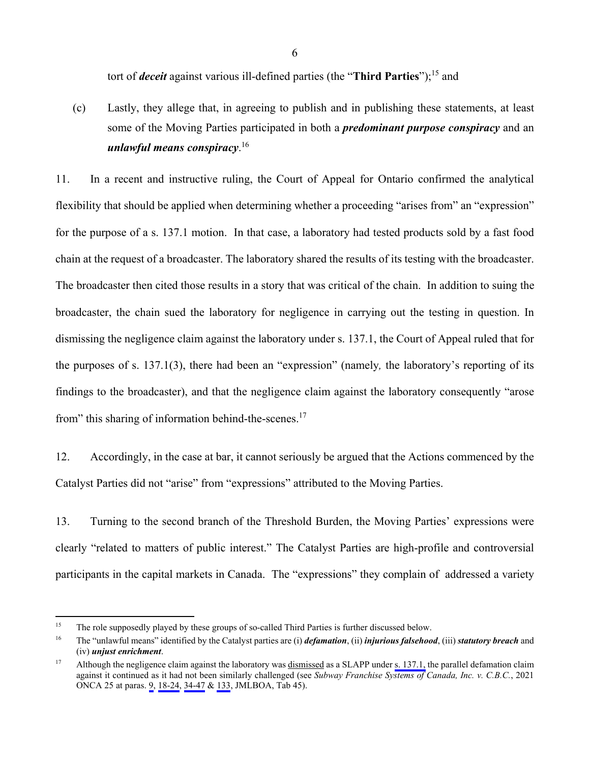tort of *deceit* against various ill-defined parties (the "**Third Parties**");15 and

(c) Lastly, they allege that, in agreeing to publish and in publishing these statements, at least some of the Moving Parties participated in both a *predominant purpose conspiracy* and an *unlawful means conspiracy*. 16

11. In a recent and instructive ruling, the Court of Appeal for Ontario confirmed the analytical flexibility that should be applied when determining whether a proceeding "arises from" an "expression" for the purpose of a s. 137.1 motion. In that case, a laboratory had tested products sold by a fast food chain at the request of a broadcaster. The laboratory shared the results of its testing with the broadcaster. The broadcaster then cited those results in a story that was critical of the chain. In addition to suing the broadcaster, the chain sued the laboratory for negligence in carrying out the testing in question. In dismissing the negligence claim against the laboratory under s. 137.1, the Court of Appeal ruled that for the purposes of s. 137.1(3), there had been an "expression" (namely*,* the laboratory's reporting of its findings to the broadcaster), and that the negligence claim against the laboratory consequently "arose from" this sharing of information behind-the-scenes.<sup>17</sup>

12. Accordingly, in the case at bar, it cannot seriously be argued that the Actions commenced by the Catalyst Parties did not "arise" from "expressions" attributed to the Moving Parties.

13. Turning to the second branch of the Threshold Burden, the Moving Parties' expressions were clearly "related to matters of public interest." The Catalyst Parties are high-profile and controversial participants in the capital markets in Canada. The "expressions" they complain of addressed a variety

<sup>&</sup>lt;sup>15</sup> The role supposedly played by these groups of so-called Third Parties is further discussed below.

<sup>16</sup> The "unlawful means" identified by the Catalyst parties are (i) *defamation*, (ii) *injurious falsehood*, (iii) *statutory breach* and (iv) *unjust enrichment*.

<sup>&</sup>lt;sup>17</sup> Although the negligence claim against the laboratory was dismissed as a SLAPP under [s. 137.1,](#page-47-0) the parallel defamation claim against it continued as it had not been similarly challenged (see *Subway Franchise Systems of Canada, Inc. v. C.B.C.*, 2021 ONCA 25 at paras. [9](#page-1647-0), [18-24](#page-1649-0), [34-47](#page-1656-0) & [133](#page-1690-0), JMLBOA, Tab 45).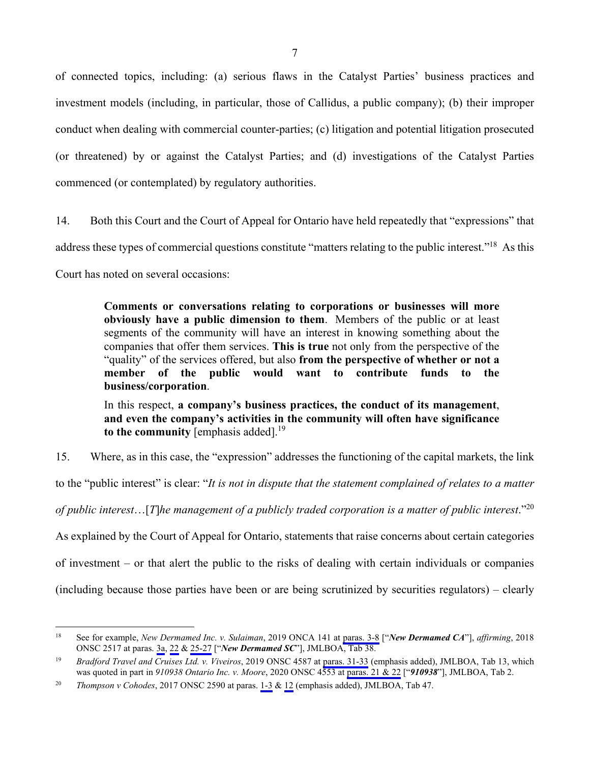of connected topics, including: (a) serious flaws in the Catalyst Parties' business practices and investment models (including, in particular, those of Callidus, a public company); (b) their improper conduct when dealing with commercial counter-parties; (c) litigation and potential litigation prosecuted (or threatened) by or against the Catalyst Parties; and (d) investigations of the Catalyst Parties commenced (or contemplated) by regulatory authorities.

14. Both this Court and the Court of Appeal for Ontario have held repeatedly that "expressions" that address these types of commercial questions constitute "matters relating to the public interest."18 As this Court has noted on several occasions:

> **Comments or conversations relating to corporations or businesses will more obviously have a public dimension to them**. Members of the public or at least segments of the community will have an interest in knowing something about the companies that offer them services. **This is true** not only from the perspective of the "quality" of the services offered, but also **from the perspective of whether or not a member of the public would want to contribute funds to the business/corporation**.

> In this respect, **a company's business practices, the conduct of its management**, **and even the company's activities in the community will often have significance**  to the community [emphasis added].<sup>19</sup>

15. Where, as in this case, the "expression" addresses the functioning of the capital markets, the link to the "public interest" is clear: "*It is not in dispute that the statement complained of relates to a matter of public interest*…[*T*]*he management of a publicly traded corporation is a matter of public interest*."20 As explained by the Court of Appeal for Ontario, statements that raise concerns about certain categories of investment – or that alert the public to the risks of dealing with certain individuals or companies (including because those parties have been or are being scrutinized by securities regulators) – clearly

<sup>18</sup> 18 See for example, *New Dermamed Inc. v. Sulaiman*, 2019 ONCA 141 at [paras. 3-8](#page-1489-0) ["*New Dermamed CA*"], *affirming*, 2018 ONSC 2517 at paras. [3a](#page-1496-0), [22](#page-1501-0) & [25-27](#page-1502-0) ["*New Dermamed SC*"], JMLBOA, Tab 38.

<sup>19</sup> *Bradford Travel and Cruises Ltd. v. Viveiros*, 2019 ONSC 4587 at [paras. 31-33](#page-649-0) (emphasis added), JMLBOA, Tab 13, which was quoted in part in *910938 Ontario Inc. v. Moore*, 2020 ONSC 4553 at [paras. 21 & 22](#page-95-0) ["*910938*"], JMLBOA, Tab 2.

<sup>20</sup> *Thompson v Cohodes*, 2017 ONSC 2590 at paras. [1-3](#page-1695-0) & [12](#page-1697-0) (emphasis added), JMLBOA, Tab 47.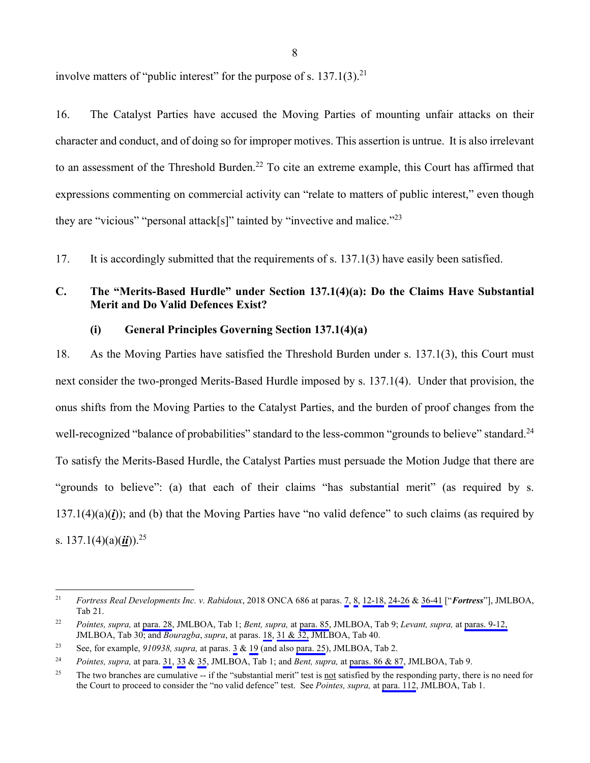involve matters of "public interest" for the purpose of s.  $137.1(3)$ <sup>21</sup>

16. The Catalyst Parties have accused the Moving Parties of mounting unfair attacks on their character and conduct, and of doing so for improper motives. This assertion is untrue. It is also irrelevant to an assessment of the Threshold Burden.<sup>22</sup> To cite an extreme example, this Court has affirmed that expressions commenting on commercial activity can "relate to matters of public interest," even though they are "vicious" "personal attack[s]" tainted by "invective and malice."<sup>23</sup>

17. It is accordingly submitted that the requirements of s. 137.1(3) have easily been satisfied.

## **C. The "Merits-Based Hurdle" under Section 137.1(4)(a): Do the Claims Have Substantial Merit and Do Valid Defences Exist?**

#### **(i) General Principles Governing Section 137.1(4)(a)**

18. As the Moving Parties have satisfied the Threshold Burden under s. 137.1(3), this Court must next consider the two-pronged Merits-Based Hurdle imposed by s. 137.1(4). Under that provision, the onus shifts from the Moving Parties to the Catalyst Parties, and the burden of proof changes from the well-recognized "balance of probabilities" standard to the less-common "grounds to believe" standard.<sup>24</sup> To satisfy the Merits-Based Hurdle, the Catalyst Parties must persuade the Motion Judge that there are "grounds to believe": (a) that each of their claims "has substantial merit" (as required by s.  $137.1(4)(a)(i)$ ; and (b) that the Moving Parties have "no valid defence" to such claims (as required by s.  $137.1(4)(a)(ii)$ .<sup>25</sup>

 $21$ 21 *Fortress Real Developments Inc. v. Rabidoux*, 2018 ONCA 686 at paras. [7](#page-809-0), [8,](#page-810-0) [12-18](#page-811-0), [24-26](#page-814-0) & [36-41](#page-819-0) ["*Fortress*"], JMLBOA, Tab 21.

<sup>22</sup> *Pointes, supra,* at [para. 28,](#page-42-0) JMLBOA, Tab 1; *Bent, supra,* at [para. 85](#page-411-0), JMLBOA, Tab 9; *Levant, supra,* at [paras. 9-12,](#page-1145-0)  JMLBOA, Tab 30; and *Bouragba*, *supra*, at paras. [18](#page-1562-0), [31 & 32,](#page-1567-0) JMLBOA, Tab 40.

<sup>23</sup> See, for example, *910938, supra,* at paras. [3](#page-88-0) & [19](#page-94-0) (and also [para. 25](#page-96-0)), JMLBOA, Tab 2.

<sup>24</sup> *Pointes, supra,* at para. [31,](#page-43-0) [33](#page-44-0) & [35,](#page-45-0) JMLBOA, Tab 1; and *Bent, supra,* at [paras. 86 & 87,](#page-411-0) JMLBOA, Tab 9.

<sup>&</sup>lt;sup>25</sup> The two branches are cumulative -- if the "substantial merit" test is <u>not</u> satisfied by the responding party, there is no need for the Court to proceed to consider the "no valid defence" test. See *Pointes, supra,* at [para. 112,](#page-78-0) JMLBOA, Tab 1.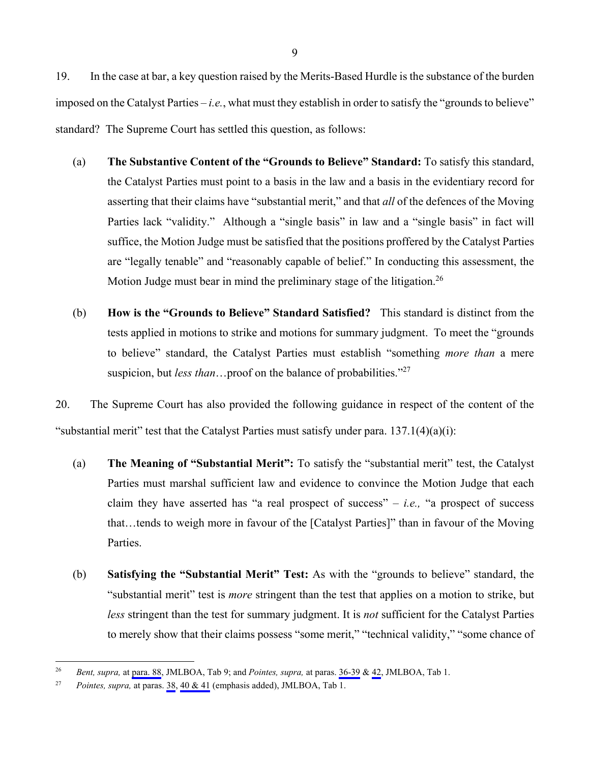19. In the case at bar, a key question raised by the Merits-Based Hurdle is the substance of the burden imposed on the Catalyst Parties – *i.e.*, what must they establish in order to satisfy the "grounds to believe" standard? The Supreme Court has settled this question, as follows:

- (a) **The Substantive Content of the "Grounds to Believe" Standard:** To satisfy this standard, the Catalyst Parties must point to a basis in the law and a basis in the evidentiary record for asserting that their claims have "substantial merit," and that *all* of the defences of the Moving Parties lack "validity." Although a "single basis" in law and a "single basis" in fact will suffice, the Motion Judge must be satisfied that the positions proffered by the Catalyst Parties are "legally tenable" and "reasonably capable of belief." In conducting this assessment, the Motion Judge must bear in mind the preliminary stage of the litigation.<sup>26</sup>
- (b) **How is the "Grounds to Believe" Standard Satisfied?** This standard is distinct from the tests applied in motions to strike and motions for summary judgment. To meet the "grounds to believe" standard, the Catalyst Parties must establish "something *more than* a mere suspicion, but *less than*…proof on the balance of probabilities."27

20. The Supreme Court has also provided the following guidance in respect of the content of the "substantial merit" test that the Catalyst Parties must satisfy under para.  $137.1(4)(a)(i)$ :

- (a) **The Meaning of "Substantial Merit":** To satisfy the "substantial merit" test, the Catalyst Parties must marshal sufficient law and evidence to convince the Motion Judge that each claim they have asserted has "a real prospect of success" – *i.e.,* "a prospect of success that…tends to weigh more in favour of the [Catalyst Parties]" than in favour of the Moving Parties.
- (b) **Satisfying the "Substantial Merit" Test:** As with the "grounds to believe" standard, the "substantial merit" test is *more* stringent than the test that applies on a motion to strike, but *less* stringent than the test for summary judgment. It is *not* sufficient for the Catalyst Parties to merely show that their claims possess "some merit," "technical validity," "some chance of

<sup>26</sup> *Bent, supra,* at [para. 88,](#page-411-0) JMLBOA, Tab 9; and *Pointes, supra,* at paras. [36-39](#page-45-0) & [42,](#page-48-0) JMLBOA, Tab 1.

<sup>27</sup> *Pointes, supra,* at paras. [38](#page-46-0), [40 & 41](#page-47-0) (emphasis added), JMLBOA, Tab 1.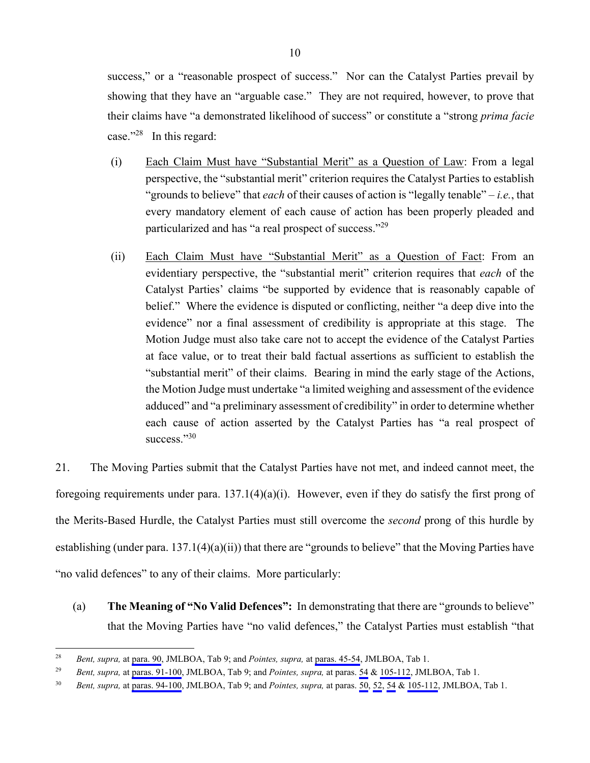success," or a "reasonable prospect of success." Nor can the Catalyst Parties prevail by showing that they have an "arguable case." They are not required, however, to prove that their claims have "a demonstrated likelihood of success" or constitute a "strong *prima facie* case."28 In this regard:

- (i) Each Claim Must have "Substantial Merit" as a Question of Law: From a legal perspective, the "substantial merit" criterion requires the Catalyst Parties to establish "grounds to believe" that *each* of their causes of action is "legally tenable" – *i.e.*, that every mandatory element of each cause of action has been properly pleaded and particularized and has "a real prospect of success."29
- (ii) Each Claim Must have "Substantial Merit" as a Question of Fact: From an evidentiary perspective, the "substantial merit" criterion requires that *each* of the Catalyst Parties' claims "be supported by evidence that is reasonably capable of belief." Where the evidence is disputed or conflicting, neither "a deep dive into the evidence" nor a final assessment of credibility is appropriate at this stage. The Motion Judge must also take care not to accept the evidence of the Catalyst Parties at face value, or to treat their bald factual assertions as sufficient to establish the "substantial merit" of their claims. Bearing in mind the early stage of the Actions, the Motion Judge must undertake "a limited weighing and assessment of the evidence adduced" and "a preliminary assessment of credibility" in order to determine whether each cause of action asserted by the Catalyst Parties has "a real prospect of success."30

21. The Moving Parties submit that the Catalyst Parties have not met, and indeed cannot meet, the foregoing requirements under para.  $137.1(4)(a)(i)$ . However, even if they do satisfy the first prong of the Merits-Based Hurdle, the Catalyst Parties must still overcome the *second* prong of this hurdle by establishing (under para. 137.1(4)(a)(ii)) that there are "grounds to believe" that the Moving Parties have "no valid defences" to any of their claims. More particularly:

(a) **The Meaning of "No Valid Defences":** In demonstrating that there are "grounds to believe" that the Moving Parties have "no valid defences," the Catalyst Parties must establish "that

<sup>28</sup> 28 *Bent, supra,* at [para. 90,](#page-412-0) JMLBOA, Tab 9; and *Pointes, supra,* at [paras. 45-54,](#page-48-0) JMLBOA, Tab 1.

<sup>29</sup> *Bent, supra,* at [paras. 91-100,](#page-412-0) JMLBOA, Tab 9; and *Pointes, supra,* at paras. [54](#page-55-0) & [105-112](#page-75-0), JMLBOA, Tab 1.

<sup>30</sup> *Bent, supra,* at [paras. 94-100,](#page-413-0) JMLBOA, Tab 9; and *Pointes, supra,* at paras. [50](#page-52-0), [52,](#page-53-0) [54](#page-55-0) & [105-112,](#page-75-0) JMLBOA, Tab 1.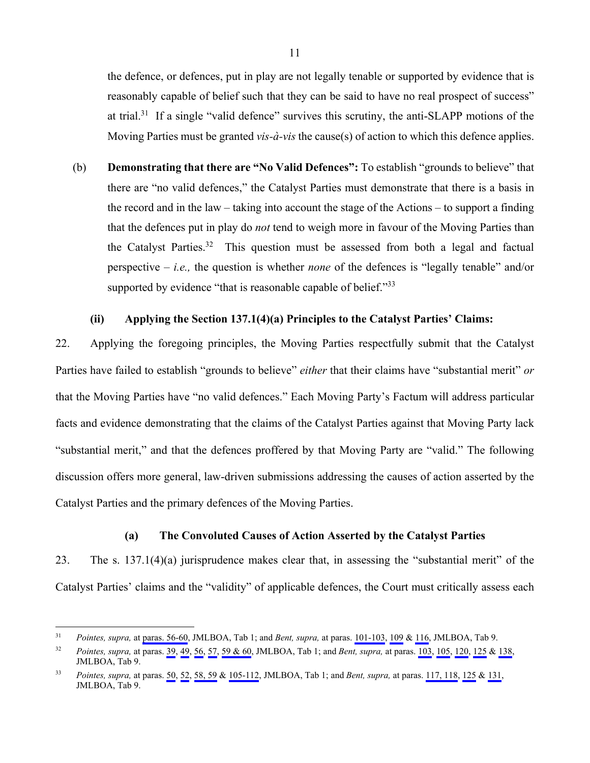the defence, or defences, put in play are not legally tenable or supported by evidence that is reasonably capable of belief such that they can be said to have no real prospect of success" at trial.<sup>31</sup> If a single "valid defence" survives this scrutiny, the anti-SLAPP motions of the Moving Parties must be granted *vis-à-vis* the cause(s) of action to which this defence applies.

(b) **Demonstrating that there are "No Valid Defences":** To establish "grounds to believe" that there are "no valid defences," the Catalyst Parties must demonstrate that there is a basis in the record and in the law – taking into account the stage of the Actions – to support a finding that the defences put in play do *not* tend to weigh more in favour of the Moving Parties than the Catalyst Parties.<sup>32</sup> This question must be assessed from both a legal and factual perspective – *i.e.,* the question is whether *none* of the defences is "legally tenable" and/or supported by evidence "that is reasonable capable of belief."<sup>33</sup>

#### **(ii) Applying the Section 137.1(4)(a) Principles to the Catalyst Parties' Claims:**

22. Applying the foregoing principles, the Moving Parties respectfully submit that the Catalyst Parties have failed to establish "grounds to believe" *either* that their claims have "substantial merit" *or* that the Moving Parties have "no valid defences." Each Moving Party's Factum will address particular facts and evidence demonstrating that the claims of the Catalyst Parties against that Moving Party lack "substantial merit," and that the defences proffered by that Moving Party are "valid." The following discussion offers more general, law-driven submissions addressing the causes of action asserted by the Catalyst Parties and the primary defences of the Moving Parties.

## **(a) The Convoluted Causes of Action Asserted by the Catalyst Parties**

23. The s. 137.1(4)(a) jurisprudence makes clear that, in assessing the "substantial merit" of the Catalyst Parties' claims and the "validity" of applicable defences, the Court must critically assess each

 $31$ 31 *Pointes, supra,* at [paras. 56-60](#page-55-0), JMLBOA, Tab 1; and *Bent, supra,* at paras. [101-103,](#page-416-0) [109](#page-419-0) & [116](#page-422-0), JMLBOA, Tab 9.

<sup>32</sup> *Pointes, supra,* at paras. [39](#page-47-0), [49,](#page-51-0) [56,](#page-55-0) [57](#page-55-0), [59 & 60](#page-56-0), JMLBOA, Tab 1; and *Bent, supra,* at paras. [103](#page-417-0), [105](#page-418-0), [120](#page-425-0), [125](#page-428-0) & [138,](#page-437-0) JMLBOA, Tab 9.

<sup>33</sup> *Pointes, supra,* at paras. [50](#page-52-0), [52,](#page-53-0) [58, 59](#page-56-0) & [105-112,](#page-75-0) JMLBOA, Tab 1; and *Bent, supra,* at paras. [117, 118](#page-423-0), [125](#page-428-0) & [131,](#page-431-0) JMLBOA, Tab 9.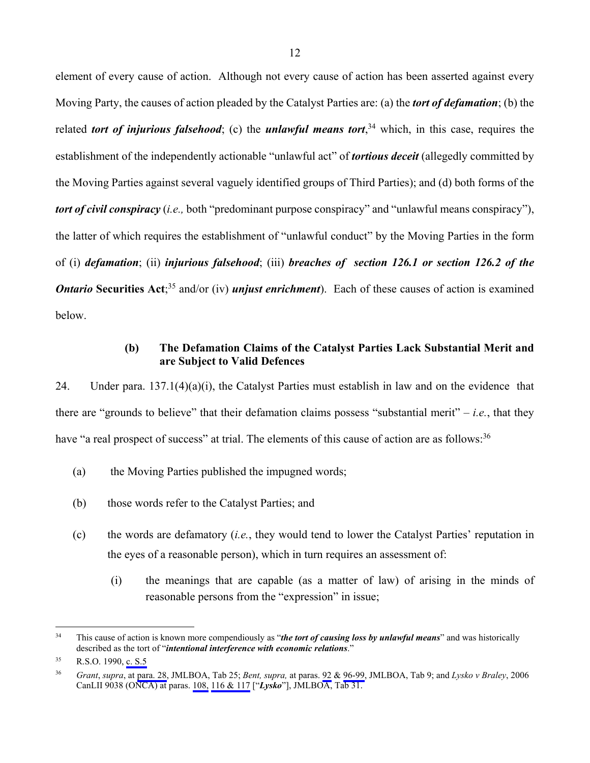element of every cause of action. Although not every cause of action has been asserted against every Moving Party, the causes of action pleaded by the Catalyst Parties are: (a) the *tort of defamation*; (b) the related *tort of injurious falsehood*; (c) the *unlawful means tort*, 34 which, in this case, requires the establishment of the independently actionable "unlawful act" of *tortious deceit* (allegedly committed by the Moving Parties against several vaguely identified groups of Third Parties); and (d) both forms of the *tort of civil conspiracy* (*i.e.,* both "predominant purpose conspiracy" and "unlawful means conspiracy"), the latter of which requires the establishment of "unlawful conduct" by the Moving Parties in the form of (i) *defamation*; (ii) *injurious falsehood*; (iii) *breaches of section 126.1 or section 126.2 of the Ontario* Securities Act;<sup>35</sup> and/or (iv) *unjust enrichment*). Each of these causes of action is examined below.

#### **(b) The Defamation Claims of the Catalyst Parties Lack Substantial Merit and are Subject to Valid Defences**

24. Under para. 137.1(4)(a)(i), the Catalyst Parties must establish in law and on the evidence that there are "grounds to believe" that their defamation claims possess "substantial merit" – *i.e.*, that they have "a real prospect of success" at trial. The elements of this cause of action are as follows:<sup>36</sup>

- (a) the Moving Parties published the impugned words;
- (b) those words refer to the Catalyst Parties; and
- (c) the words are defamatory (*i.e.*, they would tend to lower the Catalyst Parties' reputation in the eyes of a reasonable person), which in turn requires an assessment of:
	- (i) the meanings that are capable (as a matter of law) of arising in the minds of reasonable persons from the "expression" in issue;

 $34$ This cause of action is known more compendiously as "*the tort of causing loss by unlawful means*" and was historically described as the tort of "*intentional interference with economic relations*."

<sup>35</sup> R.S.O. 1990, [c. S.5](#page-49-0)

<sup>36</sup> *Grant*, *supra*, at [para. 28,](#page-1002-0) JMLBOA, Tab 25; *Bent, supra,* at paras. [92](#page-412-0) & [96-99](#page-414-0), JMLBOA, Tab 9; and *Lysko v Braley*, 2006 CanLII 9038 (ONCA) at paras. [108,](#page-1187-0) [116 & 117](#page-1190-0) ["*Lysko*"], JMLBOA, Tab 31.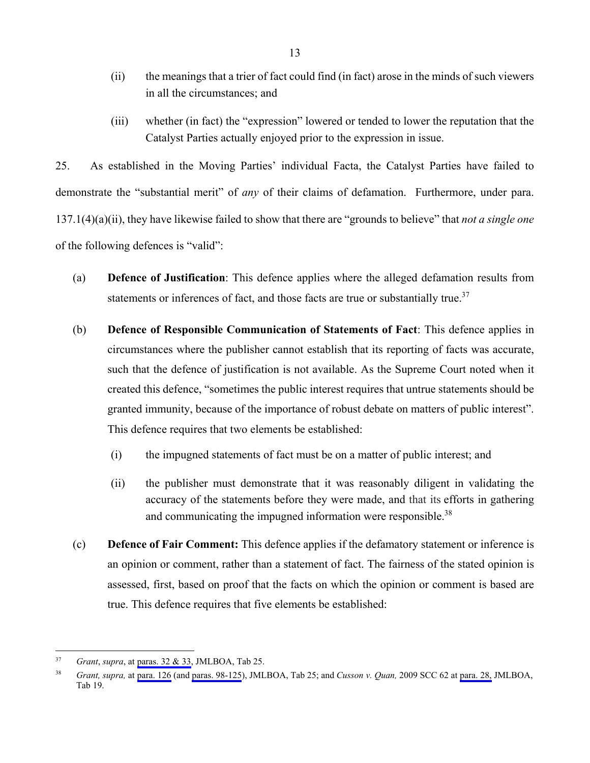- (ii) the meanings that a trier of fact could find (in fact) arose in the minds of such viewers in all the circumstances; and
- (iii) whether (in fact) the "expression" lowered or tended to lower the reputation that the Catalyst Parties actually enjoyed prior to the expression in issue.

25. As established in the Moving Parties' individual Facta, the Catalyst Parties have failed to demonstrate the "substantial merit" of *any* of their claims of defamation. Furthermore, under para. 137.1(4)(a)(ii), they have likewise failed to show that there are "grounds to believe" that *not a single one* of the following defences is "valid":

- (a) **Defence of Justification**: This defence applies where the alleged defamation results from statements or inferences of fact, and those facts are true or substantially true.<sup>37</sup>
- (b) **Defence of Responsible Communication of Statements of Fact**: This defence applies in circumstances where the publisher cannot establish that its reporting of facts was accurate, such that the defence of justification is not available. As the Supreme Court noted when it created this defence, "sometimes the public interest requires that untrue statements should be granted immunity, because of the importance of robust debate on matters of public interest". This defence requires that two elements be established:
	- (i) the impugned statements of fact must be on a matter of public interest; and
	- (ii) the publisher must demonstrate that it was reasonably diligent in validating the accuracy of the statements before they were made, and that its efforts in gathering and communicating the impugned information were responsible.<sup>38</sup>
- (c) **Defence of Fair Comment:** This defence applies if the defamatory statement or inference is an opinion or comment, rather than a statement of fact. The fairness of the stated opinion is assessed, first, based on proof that the facts on which the opinion or comment is based are true. This defence requires that five elements be established:

<sup>37</sup> 37 *Grant*, *supra*, at [paras. 32 & 33](#page-1003-0), JMLBOA, Tab 25.

<sup>38</sup> *Grant, supra,* at [para. 126](#page-1038-0) (and [paras. 98-125\)](#page-1028-0), JMLBOA, Tab 25; and *Cusson v. Quan,* 2009 SCC 62 at [para. 28,](#page-768-0) JMLBOA, Tab 19.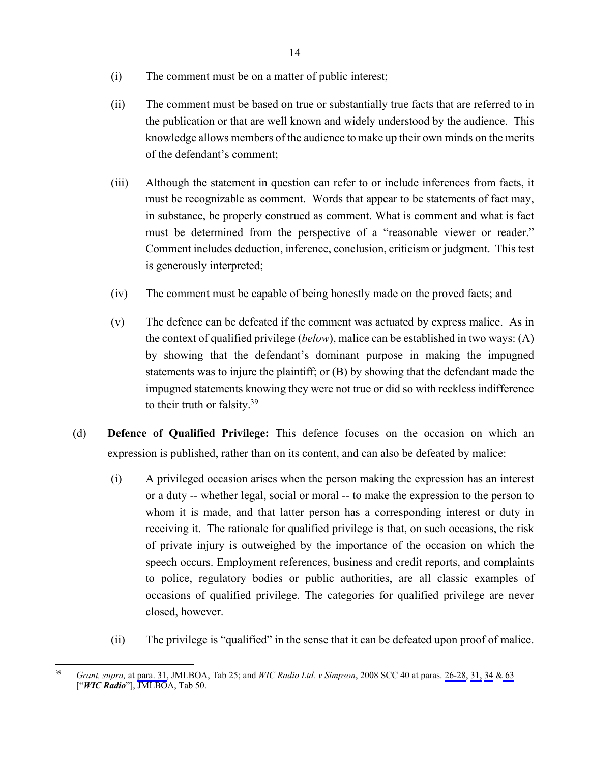- (i) The comment must be on a matter of public interest;
- (ii) The comment must be based on true or substantially true facts that are referred to in the publication or that are well known and widely understood by the audience. This knowledge allows members of the audience to make up their own minds on the merits of the defendant's comment;
- (iii) Although the statement in question can refer to or include inferences from facts, it must be recognizable as comment. Words that appear to be statements of fact may, in substance, be properly construed as comment. What is comment and what is fact must be determined from the perspective of a "reasonable viewer or reader." Comment includes deduction, inference, conclusion, criticism or judgment. This test is generously interpreted;
- (iv) The comment must be capable of being honestly made on the proved facts; and
- (v) The defence can be defeated if the comment was actuated by express malice. As in the context of qualified privilege (*below*), malice can be established in two ways: (A) by showing that the defendant's dominant purpose in making the impugned statements was to injure the plaintiff; or (B) by showing that the defendant made the impugned statements knowing they were not true or did so with reckless indifference to their truth or falsity.39
- (d) **Defence of Qualified Privilege:** This defence focuses on the occasion on which an expression is published, rather than on its content, and can also be defeated by malice:
	- (i) A privileged occasion arises when the person making the expression has an interest or a duty -- whether legal, social or moral -- to make the expression to the person to whom it is made, and that latter person has a corresponding interest or duty in receiving it. The rationale for qualified privilege is that, on such occasions, the risk of private injury is outweighed by the importance of the occasion on which the speech occurs. Employment references, business and credit reports, and complaints to police, regulatory bodies or public authorities, are all classic examples of occasions of qualified privilege. The categories for qualified privilege are never closed, however.
	- (ii) The privilege is "qualified" in the sense that it can be defeated upon proof of malice.

 $39$ 39 *Grant, supra,* at [para. 31,](#page-1003-0) JMLBOA, Tab 25; and *WIC Radio Ltd. v Simpson*, 2008 SCC 40 at paras. [26-28,](#page-1763-0) [31,](#page-1766-0) [34](#page-1767-0) & [63](#page-1780-0)  ["*WIC Radio*"], JMLBOA, Tab 50.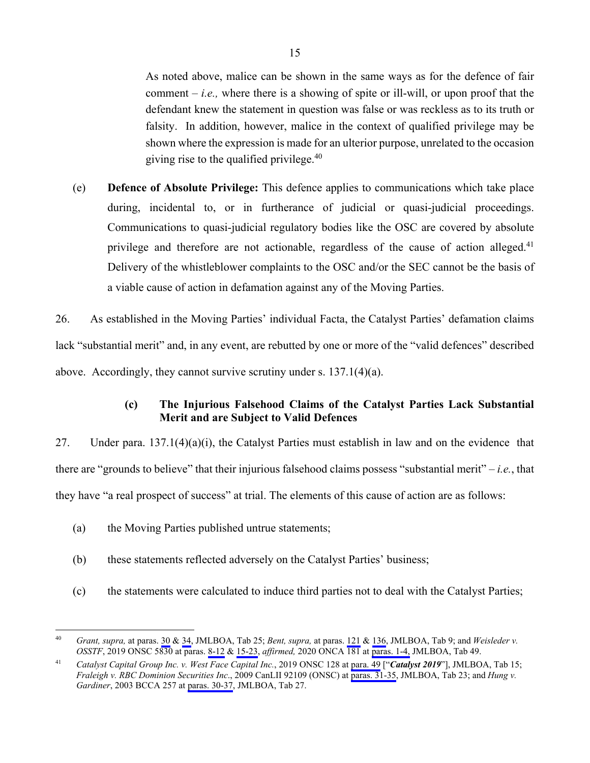As noted above, malice can be shown in the same ways as for the defence of fair comment  $-i.e.,$  where there is a showing of spite or ill-will, or upon proof that the defendant knew the statement in question was false or was reckless as to its truth or falsity. In addition, however, malice in the context of qualified privilege may be shown where the expression is made for an ulterior purpose, unrelated to the occasion giving rise to the qualified privilege. $40$ 

(e) **Defence of Absolute Privilege:** This defence applies to communications which take place during, incidental to, or in furtherance of judicial or quasi-judicial proceedings. Communications to quasi-judicial regulatory bodies like the OSC are covered by absolute privilege and therefore are not actionable, regardless of the cause of action alleged.<sup>41</sup> Delivery of the whistleblower complaints to the OSC and/or the SEC cannot be the basis of a viable cause of action in defamation against any of the Moving Parties.

26. As established in the Moving Parties' individual Facta, the Catalyst Parties' defamation claims lack "substantial merit" and, in any event, are rebutted by one or more of the "valid defences" described above. Accordingly, they cannot survive scrutiny under s. 137.1(4)(a).

## **(c) The Injurious Falsehood Claims of the Catalyst Parties Lack Substantial Merit and are Subject to Valid Defences**

27. Under para. 137.1(4)(a)(i), the Catalyst Parties must establish in law and on the evidence that there are "grounds to believe" that their injurious falsehood claims possess "substantial merit" – *i.e.*, that they have "a real prospect of success" at trial. The elements of this cause of action are as follows:

(a) the Moving Parties published untrue statements;

- (b) these statements reflected adversely on the Catalyst Parties' business;
- (c) the statements were calculated to induce third parties not to deal with the Catalyst Parties;

<sup>40</sup> *Grant, supra,* at paras. [30](#page-1002-0) & [34](#page-1004-0), JMLBOA, Tab 25; *Bent, supra,* at paras. [121](#page-426-0) & [136,](#page-435-0) JMLBOA, Tab 9; and *Weisleder v. OSSTF*, 2019 ONSC 5830 at paras. [8-12](#page-1731-0) & [15-23,](#page-1733-0) *affirmed,* 2020 ONCA 181 at [paras. 1-4,](#page-1724-0) JMLBOA, Tab 49.

<sup>41</sup> *Catalyst Capital Group Inc. v. West Face Capital Inc.*, 2019 ONSC 128 at [para. 49](#page-678-0) ["*Catalyst 2019*"], JMLBOA, Tab 15; *Fraleigh v. RBC Dominion Securities Inc*., 2009 CanLII 92109 (ONSC) at [paras. 31-35](#page-875-0), JMLBOA, Tab 23; and *Hung v. Gardiner*, 2003 BCCA 257 at [paras. 30-37,](#page-1091-0) JMLBOA, Tab 27.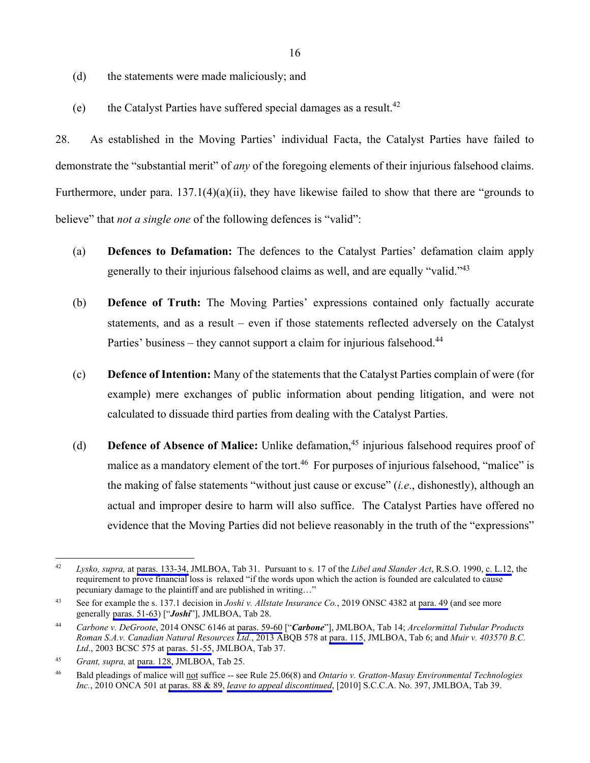- (d) the statements were made maliciously; and
- (e) the Catalyst Parties have suffered special damages as a result.<sup>42</sup>

28. As established in the Moving Parties' individual Facta, the Catalyst Parties have failed to demonstrate the "substantial merit" of *any* of the foregoing elements of their injurious falsehood claims. Furthermore, under para. 137.1(4)(a)(ii), they have likewise failed to show that there are "grounds to believe" that *not a single one* of the following defences is "valid":

- (a) **Defences to Defamation:** The defences to the Catalyst Parties' defamation claim apply generally to their injurious falsehood claims as well, and are equally "valid."43
- (b) **Defence of Truth:** The Moving Parties' expressions contained only factually accurate statements, and as a result – even if those statements reflected adversely on the Catalyst Parties' business – they cannot support a claim for injurious falsehood. $44$
- (c) **Defence of Intention:** Many of the statements that the Catalyst Parties complain of were (for example) mere exchanges of public information about pending litigation, and were not calculated to dissuade third parties from dealing with the Catalyst Parties.
- (d) **Defence of Absence of Malice:** Unlike defamation,45 injurious falsehood requires proof of malice as a mandatory element of the tort.<sup>46</sup> For purposes of injurious falsehood, "malice" is the making of false statements "without just cause or excuse" (*i.e*., dishonestly), although an actual and improper desire to harm will also suffice. The Catalyst Parties have offered no evidence that the Moving Parties did not believe reasonably in the truth of the "expressions"

<sup>42</sup> *Lysko, supra,* at [paras. 133-34,](#page-1195-0) JMLBOA, Tab 31. Pursuant to s. 17 of the *Libel and Slander Act*, R.S.O. 1990, [c. L.12,](#page-50-0) the requirement to prove financial loss is relaxed "if the words upon which the action is founded are calculated to cause pecuniary damage to the plaintiff and are published in writing…"

<sup>43</sup> See for example the s. 137.1 decision in *Joshi v. Allstate Insurance Co.*, 2019 ONSC 4382 at [para. 49](#page-1114-0) (and see more generally [paras. 51-63\)](#page-1114-0) ["*Joshi*"], JMLBOA, Tab 28.

<sup>44</sup> *Carbone v. DeGroote*, 2014 ONSC 6146 at [paras. 59-60](#page-662-0) ["*Carbone*"], JMLBOA, Tab 14; *Arcelormittal Tubular Products Roman S.A.v. Canadian Natural Resources Ltd.*, 2013 ABQB 578 at [para. 115](#page-247-0), JMLBOA, Tab 6; and *Muir v. 403570 B.C. Ltd*., 2003 BCSC 575 at [paras. 51-55,](#page-1480-0) JMLBOA, Tab 37.

<sup>45</sup> *Grant, supra,* at [para. 128,](#page-1039-0) JMLBOA, Tab 25.

<sup>46</sup> Bald pleadings of malice will not suffice -- see Rule 25.06(8) and *Ontario v. Gratton-Masuy Environmental Technologies Inc.*, 2010 ONCA 501 at [paras. 88 & 89,](#page-1541-0) *[leave to appeal discontinued](#page-1552-0)*, [2010] S.C.C.A. No. 397, JMLBOA, Tab 39.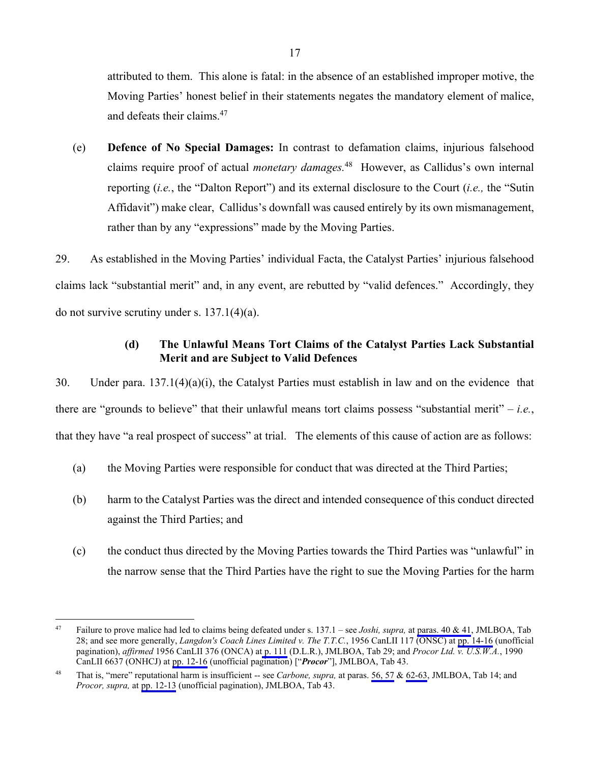attributed to them. This alone is fatal: in the absence of an established improper motive, the Moving Parties' honest belief in their statements negates the mandatory element of malice, and defeats their claims.<sup>47</sup>

(e) **Defence of No Special Damages:** In contrast to defamation claims, injurious falsehood claims require proof of actual *monetary damages.*48 However, as Callidus's own internal reporting (*i.e.*, the "Dalton Report") and its external disclosure to the Court (*i.e.,* the "Sutin Affidavit") make clear, Callidus's downfall was caused entirely by its own mismanagement, rather than by any "expressions" made by the Moving Parties.

29. As established in the Moving Parties' individual Facta, the Catalyst Parties' injurious falsehood claims lack "substantial merit" and, in any event, are rebutted by "valid defences." Accordingly, they do not survive scrutiny under s.  $137.1(4)(a)$ .

## **(d) The Unlawful Means Tort Claims of the Catalyst Parties Lack Substantial Merit and are Subject to Valid Defences**

30. Under para. 137.1(4)(a)(i), the Catalyst Parties must establish in law and on the evidence that there are "grounds to believe" that their unlawful means tort claims possess "substantial merit" – *i.e.*, that they have "a real prospect of success" at trial. The elements of this cause of action are as follows:

- (a) the Moving Parties were responsible for conduct that was directed at the Third Parties;
- (b) harm to the Catalyst Parties was the direct and intended consequence of this conduct directed against the Third Parties; and
- (c) the conduct thus directed by the Moving Parties towards the Third Parties was "unlawful" in the narrow sense that the Third Parties have the right to sue the Moving Parties for the harm

<sup>47</sup> Failure to prove malice had led to claims being defeated under s. 137.1 – see *Joshi, supra,* at [paras. 40 & 41](#page-1112-0), JMLBOA, Tab 28; and see more generally, *Langdon's Coach Lines Limited v. The T.T.C.*, 1956 CanLII 117 (ONSC) at [pp. 14-16](#page-1136-0) (unofficial pagination), *affirmed* 1956 CanLII 376 (ONCA) a[t p. 111](#page-1122-0) (D.L.R.), JMLBOA, Tab 29; and *Procor Ltd. v. U.S.W.A.*, 1990 CanLII 6637 (ONHCJ) at [pp. 12-16](#page-1608-0) (unofficial pagination) ["*Procor*"], JMLBOA, Tab 43.

<sup>48</sup> That is, "mere" reputational harm is insufficient -- see *Carbone, supra,* at paras. [56, 57](#page-662-0) & [62-63,](#page-663-0) JMLBOA, Tab 14; and *Procor, supra,* at [pp. 12-13](#page-1608-0) (unofficial pagination), JMLBOA, Tab 43.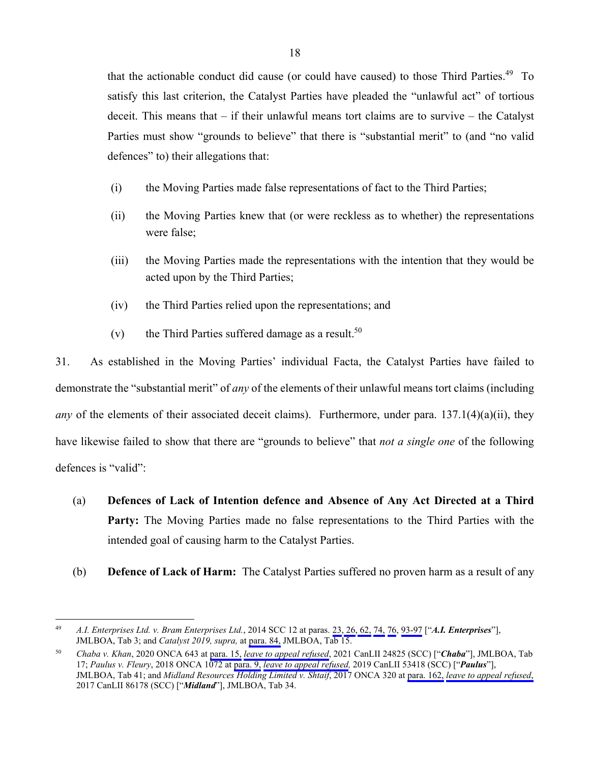that the actionable conduct did cause (or could have caused) to those Third Parties.<sup>49</sup> To satisfy this last criterion, the Catalyst Parties have pleaded the "unlawful act" of tortious deceit. This means that – if their unlawful means tort claims are to survive – the Catalyst Parties must show "grounds to believe" that there is "substantial merit" to (and "no valid defences" to) their allegations that:

- (i) the Moving Parties made false representations of fact to the Third Parties;
- (ii) the Moving Parties knew that (or were reckless as to whether) the representations were false;
- (iii) the Moving Parties made the representations with the intention that they would be acted upon by the Third Parties;
- (iv) the Third Parties relied upon the representations; and
- (v) the Third Parties suffered damage as a result.<sup>50</sup>

31. As established in the Moving Parties' individual Facta, the Catalyst Parties have failed to demonstrate the "substantial merit" of *any* of the elements of their unlawful means tort claims (including *any* of the elements of their associated deceit claims). Furthermore, under para. 137.1(4)(a)(ii), they have likewise failed to show that there are "grounds to believe" that *not a single one* of the following defences is "valid":

- (a) **Defences of Lack of Intention defence and Absence of Any Act Directed at a Third Party:** The Moving Parties made no false representations to the Third Parties with the intended goal of causing harm to the Catalyst Parties.
- (b) **Defence of Lack of Harm:** The Catalyst Parties suffered no proven harm as a result of any

<sup>49</sup> *A.I. Enterprises Ltd. v. Bram Enterprises Ltd.*, 2014 SCC 12 at paras. [23,](#page-127-0) [26](#page-128-0)[, 62,](#page-143-0) [74,](#page-149-0) [76,](#page-150-0) [93-97](#page-155-0) ["*A.I. Enterprises*"], JMLBOA, Tab 3; and *Catalyst 2019, supra,* at [para. 84,](#page-684-0) JMLBOA, Tab 15.

<sup>50</sup> *Chaba v. Khan*, 2020 ONCA 643 at [para. 15,](#page-706-0) *[leave to appeal refused](#page-713-0)*, 2021 CanLII 24825 (SCC) ["*Chaba*"], JMLBOA, Tab 17; *Paulus v. Fleury*, 2018 ONCA 1072 at [para. 9,](#page-1574-0) *[leave to appeal refused,](#page-1586-0)* 2019 CanLII 53418 (SCC) ["*Paulus*"], JMLBOA, Tab 41; and *Midland Resources Holding Limited v. Shtaif*, 2017 ONCA 320 at [para. 162,](#page-1358-0) *[leave to appeal refused](#page-1305-0)*, 2017 CanLII 86178 (SCC) ["*Midland*"], JMLBOA, Tab 34.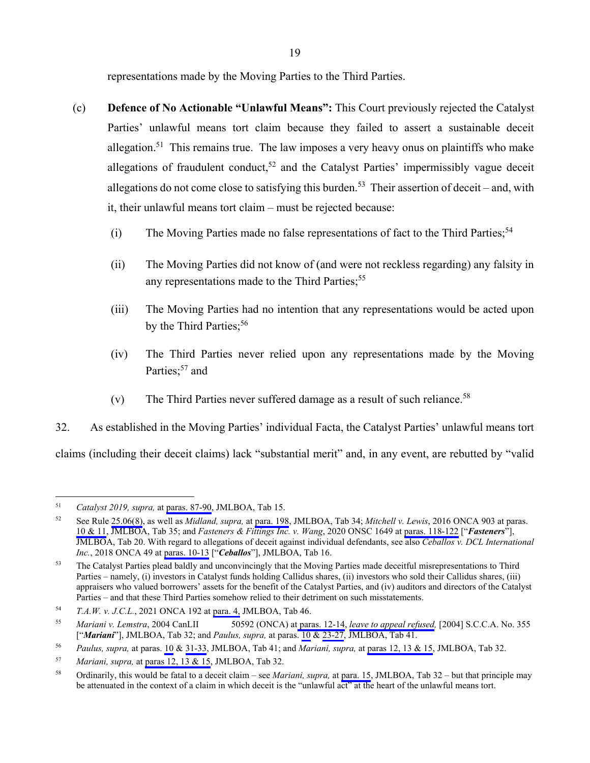representations made by the Moving Parties to the Third Parties.

- (c) **Defence of No Actionable "Unlawful Means":** This Court previously rejected the Catalyst Parties' unlawful means tort claim because they failed to assert a sustainable deceit allegation.<sup>51</sup> This remains true. The law imposes a very heavy onus on plaintiffs who make allegations of fraudulent conduct,<sup>52</sup> and the Catalyst Parties' impermissibly vague deceit allegations do not come close to satisfying this burden.<sup>53</sup> Their assertion of deceit – and, with it, their unlawful means tort claim – must be rejected because:
	- (i) The Moving Parties made no false representations of fact to the Third Parties;<sup>54</sup>
	- (ii) The Moving Parties did not know of (and were not reckless regarding) any falsity in any representations made to the Third Parties;<sup>55</sup>
	- (iii) The Moving Parties had no intention that any representations would be acted upon by the Third Parties;  $56$
	- (iv) The Third Parties never relied upon any representations made by the Moving Parties;<sup>57</sup> and
	- (v) The Third Parties never suffered damage as a result of such reliance.<sup>58</sup>

32. As established in the Moving Parties' individual Facta, the Catalyst Parties' unlawful means tort claims (including their deceit claims) lack "substantial merit" and, in any event, are rebutted by "valid

<sup>51</sup> *Catalyst 2019, supra,* at [paras. 87-90,](#page-685-0) JMLBOA, Tab 15.

<sup>52</sup> See Rule [25.06\(8\)](#page-49-0), as well as *Midland, supra,* at [para. 198](#page-1369-0), JMLBOA, Tab 34; *Mitchell v. Lewis*, 2016 ONCA 903 at paras. [10 & 11](#page-1382-0), JMLBOA, Tab 35; and *Fasteners & Fittings Inc. v. Wang*, 2020 ONSC 1649 at [paras. 118-122](#page-798-0) ["*Fasteners*"], JMLBOA, Tab 20. With regard to allegations of deceit against individual defendants, see also *Ceballos v. DCL International Inc.*, 2018 ONCA 49 at [paras. 10-13](#page-700-0) ["*Ceballos*"], JMLBOA, Tab 16.

<sup>&</sup>lt;sup>53</sup> The Catalyst Parties plead baldly and unconvincingly that the Moving Parties made deceitful misrepresentations to Third Parties – namely, (i) investors in Catalyst funds holding Callidus shares, (ii) investors who sold their Callidus shares, (iii) appraisers who valued borrowers' assets for the benefit of the Catalyst Parties, and (iv) auditors and directors of the Catalyst Parties – and that these Third Parties somehow relied to their detriment on such misstatements.

<sup>54</sup> *T.A.W. v. J.C.L.*, 2021 ONCA 192 at [para. 4,](#page-1693-0) JMLBOA, Tab 46.

<sup>55</sup> *Mariani v. Lemstra*, 2004 CanLII 50592 (ONCA) at [paras. 12-14](#page-1205-0), *[leave to appeal refused](#page-1212-0),* [2004] S.C.C.A. No. 355 ["*Mariani*"], JMLBOA, Tab 32; and *Paulus, supra,* at paras. [10](#page-1575-0) & [23-27,](#page-1579-0) JMLBOA, Tab 41.

<sup>56</sup> *Paulus, supra,* at paras. [10](#page-1575-0) & [31-33,](#page-1583-0) JMLBOA, Tab 41; and *Mariani, supra,* at [paras 12, 13 & 15](#page-1205-0), JMLBOA, Tab 32.

<sup>57</sup> *Mariani, supra,* at [paras 12, 13 & 15](#page-1205-0), JMLBOA, Tab 32.

<sup>58</sup> Ordinarily, this would be fatal to a deceit claim – see *Mariani, supra,* at [para. 15,](#page-1205-0) JMLBOA, Tab 32 – but that principle may be attenuated in the context of a claim in which deceit is the "unlawful act" at the heart of the unlawful means tort.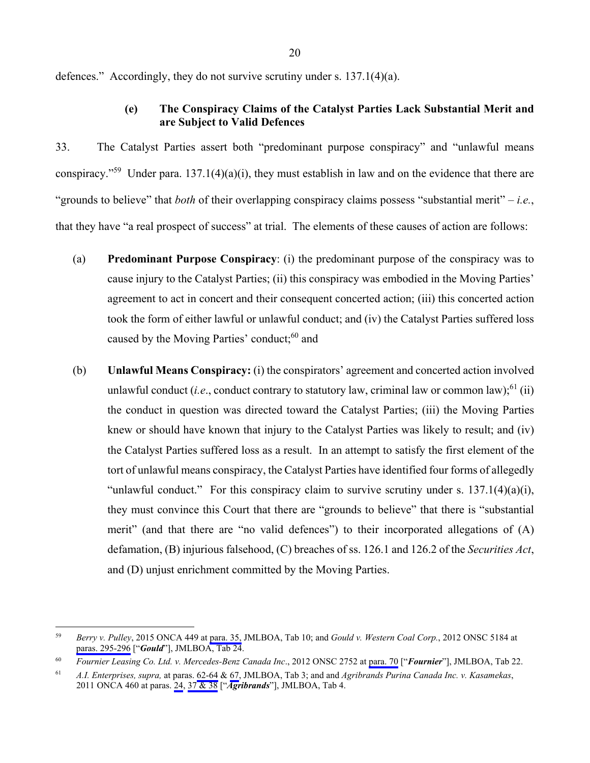<span id="page-30-0"></span>defences." Accordingly, they do not survive scrutiny under s. 137.1(4)(a).

## **(e) The Conspiracy Claims of the Catalyst Parties Lack Substantial Merit and are Subject to Valid Defences**

33. The Catalyst Parties assert both "predominant purpose conspiracy" and "unlawful means conspiracy."<sup>59</sup> Under para. 137.1(4)(a)(i), they must establish in law and on the evidence that there are "grounds to believe" that *both* of their overlapping conspiracy claims possess "substantial merit" – *i.e.*, that they have "a real prospect of success" at trial. The elements of these causes of action are follows:

- (a) **Predominant Purpose Conspiracy**: (i) the predominant purpose of the conspiracy was to cause injury to the Catalyst Parties; (ii) this conspiracy was embodied in the Moving Parties' agreement to act in concert and their consequent concerted action; (iii) this concerted action took the form of either lawful or unlawful conduct; and (iv) the Catalyst Parties suffered loss caused by the Moving Parties' conduct;<sup>60</sup> and
- (b) **Unlawful Means Conspiracy:** (i) the conspirators' agreement and concerted action involved unlawful conduct (*i.e.*, conduct contrary to statutory law, criminal law or common law);<sup>61</sup> (ii) the conduct in question was directed toward the Catalyst Parties; (iii) the Moving Parties knew or should have known that injury to the Catalyst Parties was likely to result; and (iv) the Catalyst Parties suffered loss as a result. In an attempt to satisfy the first element of the tort of unlawful means conspiracy, the Catalyst Parties have identified four forms of allegedly "unlawful conduct." For this conspiracy claim to survive scrutiny under s.  $137.1(4)(a)(i)$ , they must convince this Court that there are "grounds to believe" that there is "substantial merit" (and that there are "no valid defences") to their incorporated allegations of (A) defamation, (B) injurious falsehood, (C) breaches of ss. 126.1 and 126.2 of the *Securities Act*, and (D) unjust enrichment committed by the Moving Parties.

<sup>59</sup> 59 *Berry v. Pulley*, 2015 ONCA 449 at [para. 35,](#page-515-0) JMLBOA, Tab 10; and *Gould v. Western Coal Corp.*, 2012 ONSC 5184 at [paras. 295-296](#page-966-0) ["*Gould*"], JMLBOA, Tab 24.

<sup>60</sup> *Fournier Leasing Co. Ltd. v. Mercedes-Benz Canada Inc*., 2012 ONSC 2752 at [para. 70](#page-849-0) ["*Fournier*"], JMLBOA, Tab 22.

<sup>61</sup> *A.I. Enterprises, supra,* at paras. [62-64](#page-143-0) & [67](#page-146-0), JMLBOA, Tab 3; and and *Agribrands Purina Canada Inc. v. Kasamekas*, 2011 ONCA 460 at paras. [24](#page-173-0), [37 & 38](#page-177-0) ["*Agribrands*"], JMLBOA, Tab 4.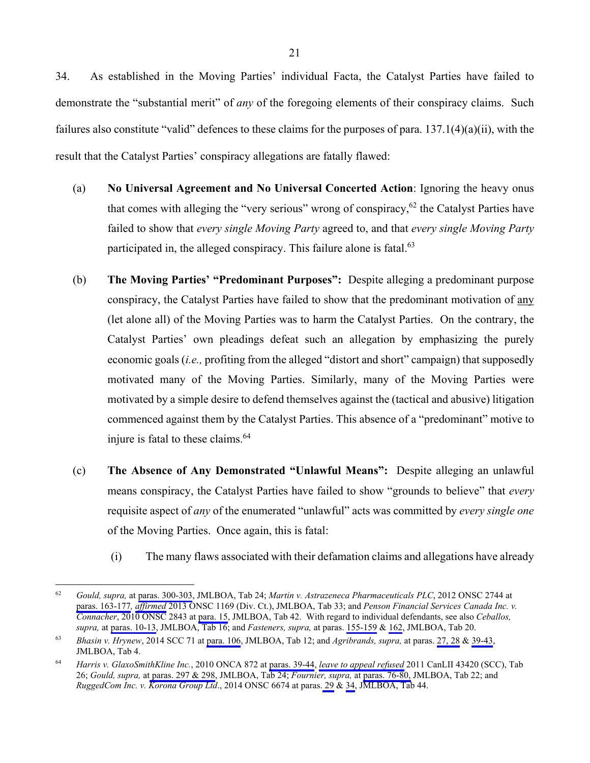34. As established in the Moving Parties' individual Facta, the Catalyst Parties have failed to demonstrate the "substantial merit" of *any* of the foregoing elements of their conspiracy claims. Such failures also constitute "valid" defences to these claims for the purposes of para. 137.1(4)(a)(ii), with the result that the Catalyst Parties' conspiracy allegations are fatally flawed:

- (a) **No Universal Agreement and No Universal Concerted Action**: Ignoring the heavy onus that comes with alleging the "very serious" wrong of conspiracy,  $62$  the Catalyst Parties have failed to show that *every single Moving Party* agreed to, and that *every single Moving Party* participated in, the alleged conspiracy. This failure alone is fatal.<sup>63</sup>
- (b) **The Moving Parties' "Predominant Purposes":** Despite alleging a predominant purpose conspiracy, the Catalyst Parties have failed to show that the predominant motivation of any (let alone all) of the Moving Parties was to harm the Catalyst Parties. On the contrary, the Catalyst Parties' own pleadings defeat such an allegation by emphasizing the purely economic goals (*i.e.,* profiting from the alleged "distort and short" campaign) that supposedly motivated many of the Moving Parties. Similarly, many of the Moving Parties were motivated by a simple desire to defend themselves against the (tactical and abusive) litigation commenced against them by the Catalyst Parties. This absence of a "predominant" motive to injure is fatal to these claims.<sup>64</sup>
- (c) **The Absence of Any Demonstrated "Unlawful Means":** Despite alleging an unlawful means conspiracy, the Catalyst Parties have failed to show "grounds to believe" that *every* requisite aspect of *any* of the enumerated "unlawful" acts was committed by *every single one* of the Moving Parties. Once again, this is fatal:
	- (i) The many flaws associated with their defamation claims and allegations have already

<sup>62</sup> 62 *Gould, supra,* at [paras. 300-303,](#page-968-0) JMLBOA, Tab 24; *Martin v. Astrazeneca Pharmaceuticals PLC*, 2012 ONSC 2744 at [paras. 163-177](#page-1246-0)*, [affirmed](#page-1297-0)* 2013 ONSC 1169 (Div. Ct.), JMLBOA, Tab 33; and *Penson Financial Services Canada Inc. v. Connacher*, 2010 ONSC 2843 at [para. 15](#page-1592-0), JMLBOA, Tab 42. With regard to individual defendants, see also *Ceballos, supra,* at [paras. 10-13,](#page-700-0) JMLBOA, Tab 16; and *Fasteners, supra,* at paras. [155-159](#page-803-0) & [162,](#page-804-0) JMLBOA, Tab 20.

<sup>63</sup> *Bhasin v. Hrynew*, 2014 SCC 71 at [para. 106,](#page-641-0) JMLBOA, Tab 12; and *Agribrands, supra,* at paras. [27, 28](#page-174-0) & [39-43,](#page-178-0) JMLBOA, Tab 4.

<sup>64</sup> *Harris v. GlaxoSmithKline Inc.*, 2010 ONCA 872 at [paras. 39-44](#page-1070-0), *[leave to appeal refused](#page-1077-0)* 2011 CanLII 43420 (SCC), Tab 26; *Gould, supra,* a[t paras. 297 & 298](#page-967-0), JMLBOA, Tab 24; *Fournier, supra,* at [paras. 76-80,](#page-850-0) JMLBOA, Tab 22; and *RuggedCom Inc. v. Korona Group Ltd*., 2014 ONSC 6674 at paras. [29](#page-1641-0) & [34](#page-1642-0), JMLBOA, Tab 44.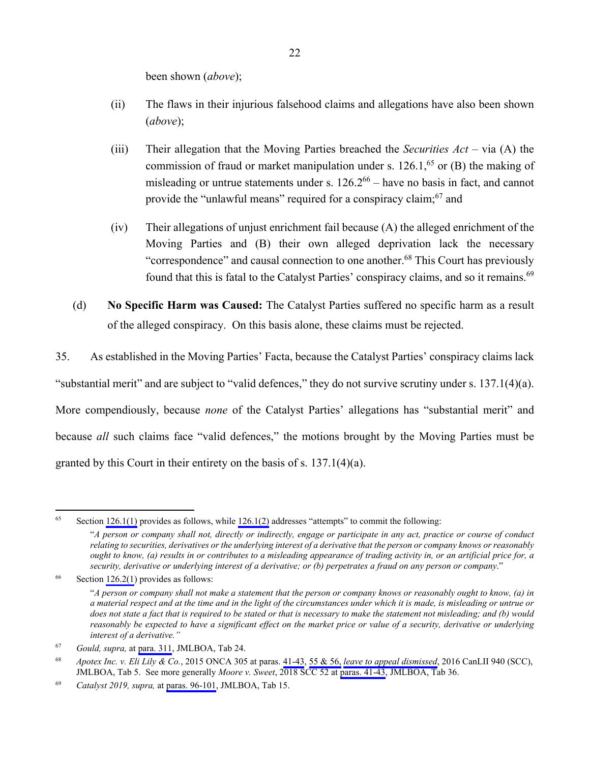been shown (*above*);

- (ii) The flaws in their injurious falsehood claims and allegations have also been shown (*above*);
- (iii) Their allegation that the Moving Parties breached the *Securities Act*  via (A) the commission of fraud or market manipulation under s.  $126.1<sup>65</sup>$  or (B) the making of misleading or untrue statements under s.  $126.2^{66}$  – have no basis in fact, and cannot provide the "unlawful means" required for a conspiracy claim;<sup>67</sup> and
- (iv) Their allegations of unjust enrichment fail because (A) the alleged enrichment of the Moving Parties and (B) their own alleged deprivation lack the necessary "correspondence" and causal connection to one another.<sup>68</sup> This Court has previously found that this is fatal to the Catalyst Parties' conspiracy claims, and so it remains.<sup>69</sup>
- (d) **No Specific Harm was Caused:** The Catalyst Parties suffered no specific harm as a result of the alleged conspiracy. On this basis alone, these claims must be rejected.

35. As established in the Moving Parties' Facta, because the Catalyst Parties' conspiracy claims lack "substantial merit" and are subject to "valid defences," they do not survive scrutiny under s. 137.1(4)(a). More compendiously, because *none* of the Catalyst Parties' allegations has "substantial merit" and because *all* such claims face "valid defences," the motions brought by the Moving Parties must be granted by this Court in their entirety on the basis of s. 137.1(4)(a).

<sup>65</sup> Section [126.1\(1\)](#page-49-0) provides as follows, while [126.1\(2\)](#page-49-0) addresses "attempts" to commit the following:

<sup>&</sup>quot;*A person or company shall not, directly or indirectly, engage or participate in any act, practice or course of conduct relating to securities, derivatives or the underlying interest of a derivative that the person or company knows or reasonably ought to know, (a) results in or contributes to a misleading appearance of trading activity in, or an artificial price for, a security, derivative or underlying interest of a derivative; or (b) perpetrates a fraud on any person or company*."

 $66$  Section [126.2\(1](#page-49-0)) provides as follows:

<sup>&</sup>quot;*A person or company shall not make a statement that the person or company knows or reasonably ought to know, (a) in a material respect and at the time and in the light of the circumstances under which it is made, is misleading or untrue or does not state a fact that is required to be stated or that is necessary to make the statement not misleading; and (b) would reasonably be expected to have a significant effect on the market price or value of a security, derivative or underlying interest of a derivative."*

<sup>67</sup> *Gould, supra,* at [para. 311,](#page-971-0) JMLBOA, Tab 24.

<sup>68</sup> *Apotex Inc. v. Eli Lily & Co.*, 2015 ONCA 305 at paras. [41-43](#page-209-0), [55 & 56,](#page-215-0) *[leave to appeal dismissed](#page-219-0)*, 2016 CanLII 940 (SCC), JMLBOA, Tab 5.See more generally *Moore v. Sweet*, 2018 SCC 52 at [paras. 41-43](#page-1411-0), JMLBOA, Tab 36.

<sup>69</sup> *Catalyst 2019, supra,* at [paras. 96-101](#page-686-0), JMLBOA, Tab 15.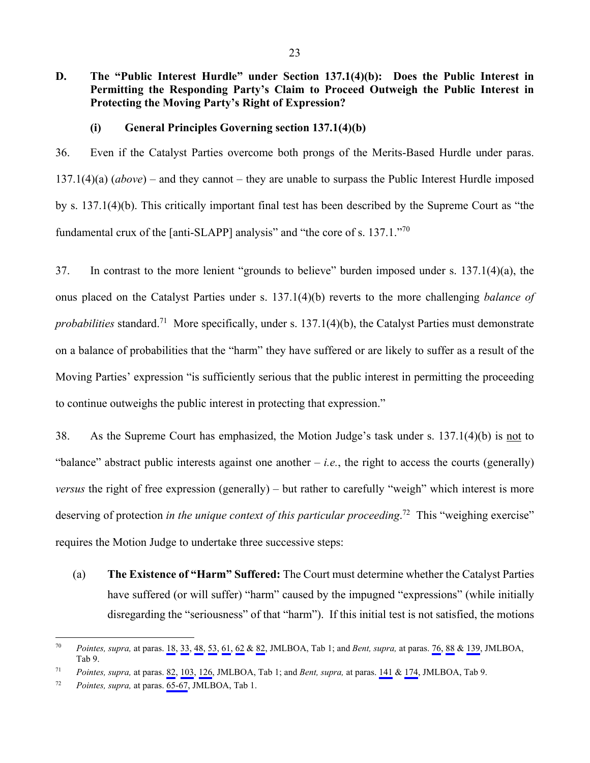**D. The "Public Interest Hurdle" under Section 137.1(4)(b): Does the Public Interest in Permitting the Responding Party's Claim to Proceed Outweigh the Public Interest in Protecting the Moving Party's Right of Expression?** 

#### **(i) General Principles Governing section 137.1(4)(b)**

36. Even if the Catalyst Parties overcome both prongs of the Merits-Based Hurdle under paras. 137.1(4)(a) (*above*) – and they cannot – they are unable to surpass the Public Interest Hurdle imposed by s. 137.1(4)(b). This critically important final test has been described by the Supreme Court as "the fundamental crux of the [anti-SLAPP] analysis" and "the core of s. 137.1."<sup>70</sup>

37. In contrast to the more lenient "grounds to believe" burden imposed under s. 137.1(4)(a), the onus placed on the Catalyst Parties under s. 137.1(4)(b) reverts to the more challenging *balance of probabilities* standard.71 More specifically, under s. 137.1(4)(b), the Catalyst Parties must demonstrate on a balance of probabilities that the "harm" they have suffered or are likely to suffer as a result of the Moving Parties' expression "is sufficiently serious that the public interest in permitting the proceeding to continue outweighs the public interest in protecting that expression."

38. As the Supreme Court has emphasized, the Motion Judge's task under s. 137.1(4)(b) is not to "balance" abstract public interests against one another  $-i.e.,$  the right to access the courts (generally) *versus* the right of free expression (generally) – but rather to carefully "weigh" which interest is more deserving of protection *in the unique context of this particular proceeding*.<sup>72</sup> This "weighing exercise" requires the Motion Judge to undertake three successive steps:

(a) **The Existence of "Harm" Suffered:** The Court must determine whether the Catalyst Parties have suffered (or will suffer) "harm" caused by the impugned "expressions" (while initially disregarding the "seriousness" of that "harm"). If this initial test is not satisfied, the motions

 $70\,$ 70 *Pointes, supra,* at paras. [18](#page-38-0), [33,](#page-44-0) [48,](#page-51-0) [53](#page-54-0), [61](#page-57-0), [62](#page-58-0) & [82](#page-67-0), JMLBOA, Tab 1; and *Bent, supra,* at paras. [76,](#page-408-0) [88](#page-411-0) & [139](#page-438-0), JMLBOA, Tab 9.

<sup>71</sup> *Pointes, supra,* at paras. [82](#page-67-0), [103](#page-75-0), [126](#page-84-0), JMLBOA, Tab 1; and *Bent, supra,* at paras. [141](#page-438-0) & [174](#page-453-0), JMLBOA, Tab 9.

<sup>72</sup> *Pointes, supra,* at paras. [65-67](#page-60-0), JMLBOA, Tab 1.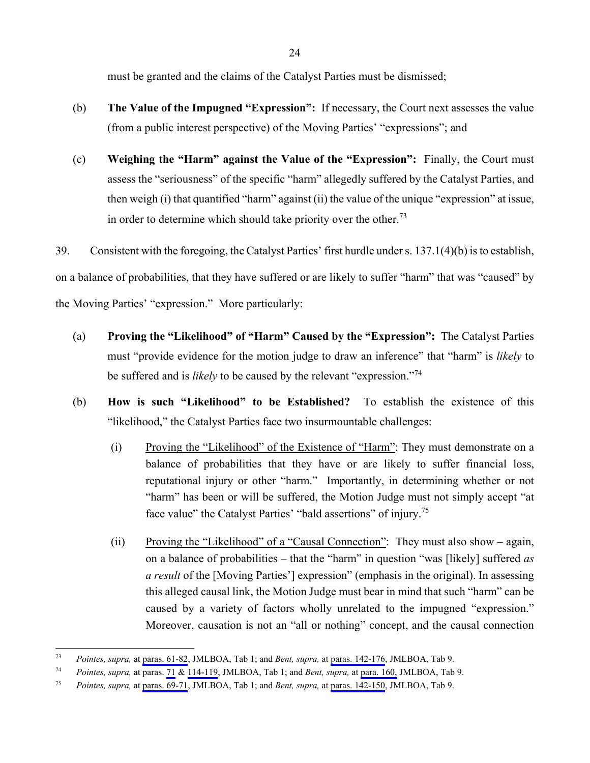must be granted and the claims of the Catalyst Parties must be dismissed;

- (b) **The Value of the Impugned "Expression":** If necessary, the Court next assesses the value (from a public interest perspective) of the Moving Parties' "expressions"; and
- (c) **Weighing the "Harm" against the Value of the "Expression":** Finally, the Court must assess the "seriousness" of the specific "harm" allegedly suffered by the Catalyst Parties, and then weigh (i) that quantified "harm" against (ii) the value of the unique "expression" at issue, in order to determine which should take priority over the other.<sup>73</sup>

39. Consistent with the foregoing, the Catalyst Parties' first hurdle under s. 137.1(4)(b) is to establish, on a balance of probabilities, that they have suffered or are likely to suffer "harm" that was "caused" by the Moving Parties' "expression." More particularly:

- (a) **Proving the "Likelihood" of "Harm" Caused by the "Expression":** The Catalyst Parties must "provide evidence for the motion judge to draw an inference" that "harm" is *likely* to be suffered and is *likely* to be caused by the relevant "expression."74
- (b) **How is such "Likelihood" to be Established?** To establish the existence of this "likelihood," the Catalyst Parties face two insurmountable challenges:
	- (i) Proving the "Likelihood" of the Existence of "Harm": They must demonstrate on a balance of probabilities that they have or are likely to suffer financial loss, reputational injury or other "harm." Importantly, in determining whether or not "harm" has been or will be suffered, the Motion Judge must not simply accept "at face value" the Catalyst Parties' "bald assertions" of injury.<sup>75</sup>
	- (ii) Proving the "Likelihood" of a "Causal Connection": They must also show again, on a balance of probabilities – that the "harm" in question "was [likely] suffered *as a result* of the [Moving Parties'] expression" (emphasis in the original). In assessing this alleged causal link, the Motion Judge must bear in mind that such "harm" can be caused by a variety of factors wholly unrelated to the impugned "expression." Moreover, causation is not an "all or nothing" concept, and the causal connection

<sup>73</sup> 73 *Pointes, supra,* at [paras. 61-82](#page-57-0), JMLBOA, Tab 1; and *Bent, supra,* at [paras. 142-176,](#page-439-0) JMLBOA, Tab 9.

<sup>74</sup> *Pointes, supra,* at paras. [71](#page-62-0) & [114-119](#page-79-0), JMLBOA, Tab 1; and *Bent, supra,* at [para. 160,](#page-447-0) JMLBOA, Tab 9.

<sup>75</sup> *Pointes, supra,* at [paras. 69-71](#page-61-0), JMLBOA, Tab 1; and *Bent, supra,* at [paras. 142-150,](#page-439-0) JMLBOA, Tab 9.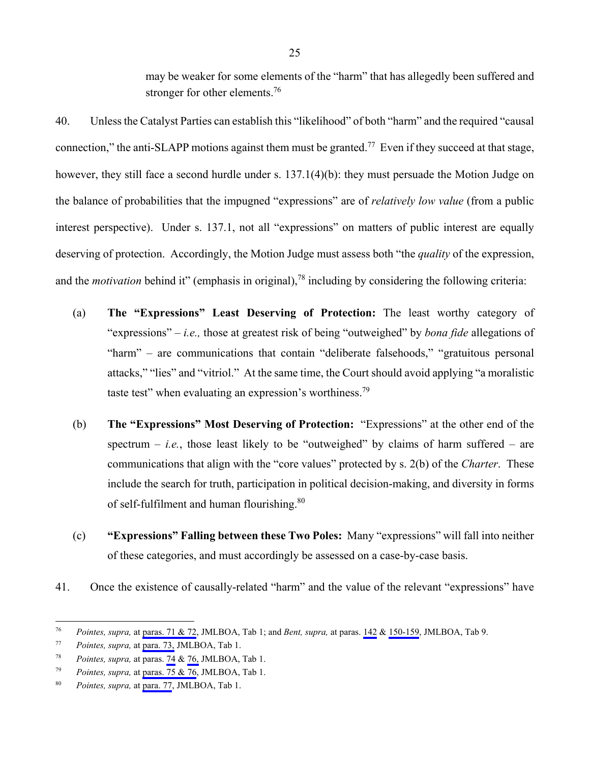may be weaker for some elements of the "harm" that has allegedly been suffered and stronger for other elements.<sup>76</sup>

40. Unless the Catalyst Parties can establish this "likelihood" of both "harm" and the required "causal connection," the anti-SLAPP motions against them must be granted.<sup>77</sup> Even if they succeed at that stage, however, they still face a second hurdle under s. 137.1(4)(b): they must persuade the Motion Judge on the balance of probabilities that the impugned "expressions" are of *relatively low value* (from a public interest perspective). Under s. 137.1, not all "expressions" on matters of public interest are equally deserving of protection. Accordingly, the Motion Judge must assess both "the *quality* of the expression, and the *motivation* behind it" (emphasis in original),<sup>78</sup> including by considering the following criteria:

- (a) **The "Expressions" Least Deserving of Protection:** The least worthy category of "expressions" – *i.e.,* those at greatest risk of being "outweighed" by *bona fide* allegations of "harm" – are communications that contain "deliberate falsehoods," "gratuitous personal attacks," "lies" and "vitriol." At the same time, the Court should avoid applying "a moralistic taste test" when evaluating an expression's worthiness.<sup>79</sup>
- (b) **The "Expressions" Most Deserving of Protection:** "Expressions" at the other end of the spectrum  $-$  *i.e.*, those least likely to be "outweighed" by claims of harm suffered  $-$  are communications that align with the "core values" protected by s. 2(b) of the *Charter*. These include the search for truth, participation in political decision-making, and diversity in forms of self-fulfilment and human flourishing.<sup>80</sup>
- (c) **"Expressions" Falling between these Two Poles:** Many "expressions" will fall into neither of these categories, and must accordingly be assessed on a case-by-case basis.
- 41. Once the existence of causally-related "harm" and the value of the relevant "expressions" have

 $76\,$ 76 *Pointes, supra,* at [paras. 71 & 72](#page-62-0), JMLBOA, Tab 1; and *Bent, supra,* at paras. [142](#page-439-0) & [150-159](#page-442-0), JMLBOA, Tab 9.

<sup>77</sup> *Pointes, supra,* at [para. 73,](#page-63-0) JMLBOA, Tab 1.

<sup>78</sup> *Pointes, supra,* at paras. [74](#page-63-0) & [76,](#page-64-0) JMLBOA, Tab 1.

<sup>79</sup> *Pointes, supra,* at [paras. 75 & 76](#page-63-0), JMLBOA, Tab 1.

<sup>80</sup> *Pointes, supra,* at [para. 77,](#page-64-0) JMLBOA, Tab 1.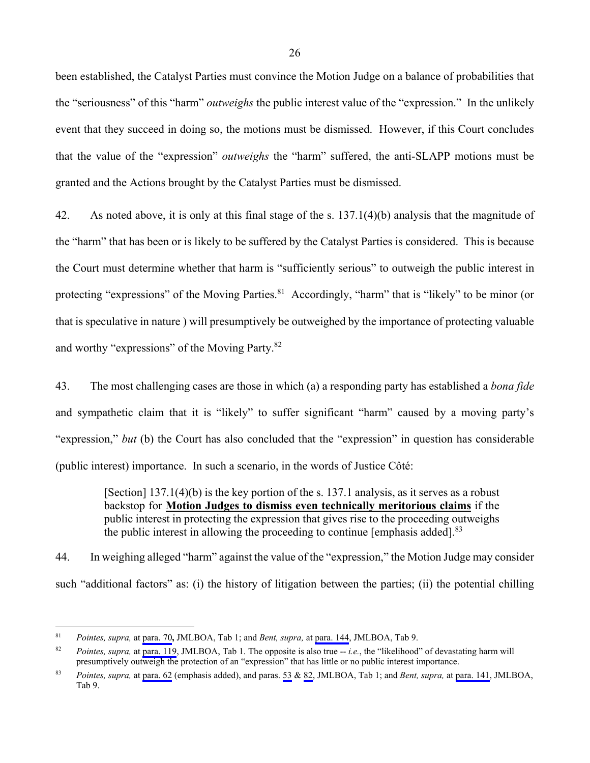been established, the Catalyst Parties must convince the Motion Judge on a balance of probabilities that the "seriousness" of this "harm" *outweighs* the public interest value of the "expression." In the unlikely event that they succeed in doing so, the motions must be dismissed. However, if this Court concludes that the value of the "expression" *outweighs* the "harm" suffered, the anti-SLAPP motions must be granted and the Actions brought by the Catalyst Parties must be dismissed.

42. As noted above, it is only at this final stage of the s. 137.1(4)(b) analysis that the magnitude of the "harm" that has been or is likely to be suffered by the Catalyst Parties is considered. This is because the Court must determine whether that harm is "sufficiently serious" to outweigh the public interest in protecting "expressions" of the Moving Parties.<sup>81</sup> Accordingly, "harm" that is "likely" to be minor (or that is speculative in nature ) will presumptively be outweighed by the importance of protecting valuable and worthy "expressions" of the Moving Party.82

43. The most challenging cases are those in which (a) a responding party has established a *bona fide* and sympathetic claim that it is "likely" to suffer significant "harm" caused by a moving party's "expression," *but* (b) the Court has also concluded that the "expression" in question has considerable (public interest) importance. In such a scenario, in the words of Justice Côté:

> [Section] 137.1(4)(b) is the key portion of the s. 137.1 analysis, as it serves as a robust backstop for **Motion Judges to dismiss even technically meritorious claims** if the public interest in protecting the expression that gives rise to the proceeding outweighs the public interest in allowing the proceeding to continue [emphasis added].<sup>83</sup>

44. In weighing alleged "harm" against the value of the "expression," the Motion Judge may consider such "additional factors" as: (i) the history of litigation between the parties; (ii) the potential chilling

 $8\sqrt{1}$ 81 *Pointes, supra,* at [para. 70](#page-61-0)**,** JMLBOA, Tab 1; and *Bent, supra,* at [para. 144](#page-439-0), JMLBOA, Tab 9.

<sup>82</sup> *Pointes, supra,* at [para. 119](#page-82-0), JMLBOA, Tab 1. The opposite is also true -- *i.e.*, the "likelihood" of devastating harm will presumptively outweigh the protection of an "expression" that has little or no public interest importance.

<sup>83</sup> *Pointes, supra,* at [para. 62](#page-58-0) (emphasis added), and paras. [53](#page-54-0) & [82,](#page-67-0) JMLBOA, Tab 1; and *Bent, supra,* at [para. 141](#page-438-0), JMLBOA, Tab 9.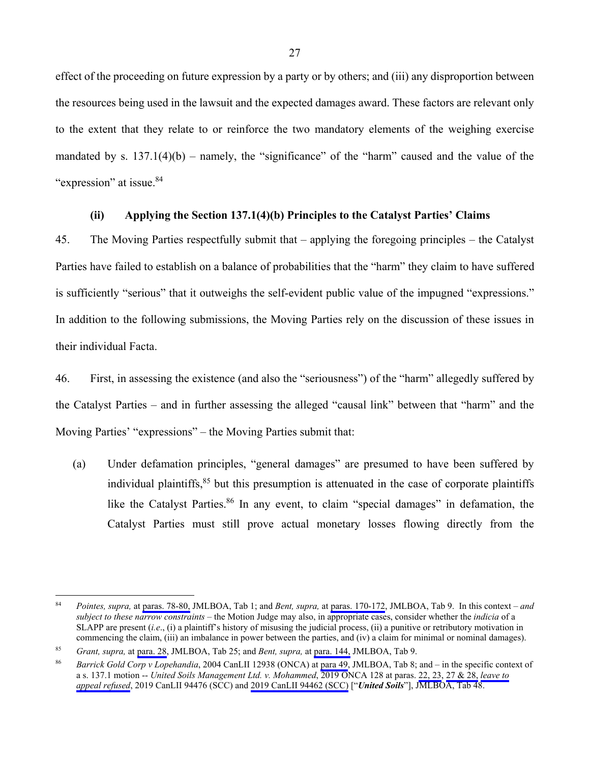<span id="page-37-0"></span>effect of the proceeding on future expression by a party or by others; and (iii) any disproportion between the resources being used in the lawsuit and the expected damages award. These factors are relevant only to the extent that they relate to or reinforce the two mandatory elements of the weighing exercise mandated by s.  $137.1(4)(b)$  – namely, the "significance" of the "harm" caused and the value of the "expression" at issue.<sup>84</sup>

### **(ii) Applying the Section 137.1(4)(b) Principles to the Catalyst Parties' Claims**

45. The Moving Parties respectfully submit that – applying the foregoing principles – the Catalyst Parties have failed to establish on a balance of probabilities that the "harm" they claim to have suffered is sufficiently "serious" that it outweighs the self-evident public value of the impugned "expressions." In addition to the following submissions, the Moving Parties rely on the discussion of these issues in their individual Facta.

46. First, in assessing the existence (and also the "seriousness") of the "harm" allegedly suffered by the Catalyst Parties – and in further assessing the alleged "causal link" between that "harm" and the Moving Parties' "expressions" – the Moving Parties submit that:

(a) Under defamation principles, "general damages" are presumed to have been suffered by individual plaintiffs, $85$  but this presumption is attenuated in the case of corporate plaintiffs like the Catalyst Parties.<sup>86</sup> In any event, to claim "special damages" in defamation, the Catalyst Parties must still prove actual monetary losses flowing directly from the

<sup>84</sup> 84 *Pointes, supra,* at [paras. 78-80,](#page-65-0) JMLBOA, Tab 1; and *Bent, supra,* at [paras. 170-172,](#page-452-0) JMLBOA, Tab 9. In this context – *and subject to these narrow constraints* – the Motion Judge may also, in appropriate cases, consider whether the *indicia* of a SLAPP are present (*i.e*., (i) a plaintiff's history of misusing the judicial process, (ii) a punitive or retributory motivation in commencing the claim, (iii) an imbalance in power between the parties, and (iv) a claim for minimal or nominal damages).

<sup>85</sup> *Grant, supra,* at [para. 28,](#page-1002-0) JMLBOA, Tab 25; and *Bent, supra,* at [para. 144,](#page-439-0) JMLBOA, Tab 9.

<sup>86</sup> *Barrick Gold Corp v Lopehandia*, 2004 CanLII 12938 (ONCA) at [para 49](#page-338-0), JMLBOA, Tab 8; and – in the specific context of a s. 137.1 motion -- *United Soils Management Ltd. v. Mohammed*, 2019 ONCA 128 at paras. [22, 23](#page-1713-0), [27 & 28,](#page-1715-0) *[leave to](#page-1721-0)  [appeal refused](#page-1721-0)*, 2019 CanLII 94476 (SCC) and [2019 CanLII 94462 \(SCC\)](#page-1722-0) ["*United Soils*"], JMLBOA, Tab 48.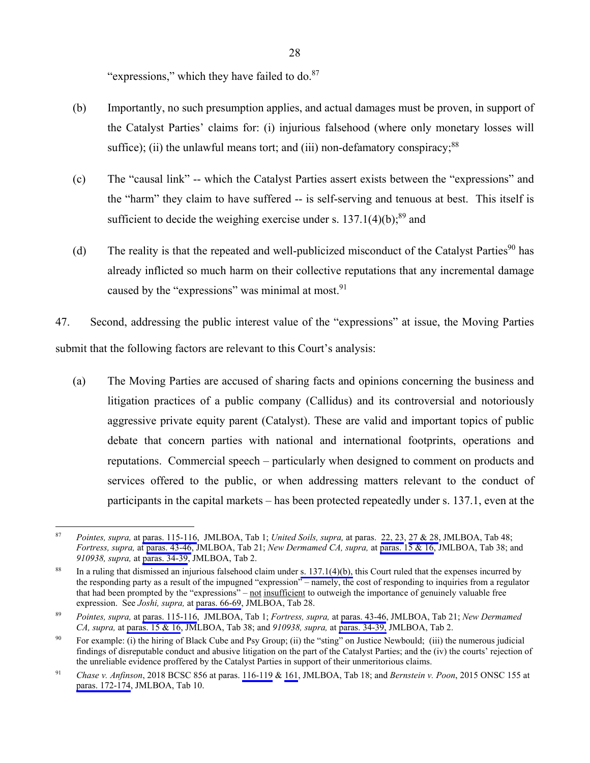"expressions," which they have failed to  $do.^{87}$ 

- <span id="page-38-0"></span>(b) Importantly, no such presumption applies, and actual damages must be proven, in support of the Catalyst Parties' claims for: (i) injurious falsehood (where only monetary losses will suffice); (ii) the unlawful means tort; and (iii) non-defamatory conspiracy; $^{88}$
- (c) The "causal link" -- which the Catalyst Parties assert exists between the "expressions" and the "harm" they claim to have suffered -- is self-serving and tenuous at best. This itself is sufficient to decide the weighing exercise under s.  $137.1(4)(b)$ ;<sup>89</sup> and
- (d) The reality is that the repeated and well-publicized misconduct of the Catalyst Parties<sup>90</sup> has already inflicted so much harm on their collective reputations that any incremental damage caused by the "expressions" was minimal at most. $91$

47. Second, addressing the public interest value of the "expressions" at issue, the Moving Parties submit that the following factors are relevant to this Court's analysis:

(a) The Moving Parties are accused of sharing facts and opinions concerning the business and litigation practices of a public company (Callidus) and its controversial and notoriously aggressive private equity parent (Catalyst). These are valid and important topics of public debate that concern parties with national and international footprints, operations and reputations. Commercial speech – particularly when designed to comment on products and services offered to the public, or when addressing matters relevant to the conduct of participants in the capital markets – has been protected repeatedly under s. 137.1, even at the

<sup>87</sup> 87 *Pointes, supra,* at [paras. 115-116,](#page-79-0) JMLBOA, Tab 1; *United Soils, supra,* at paras. [22, 23](#page-1713-0), [27 & 28](#page-1715-0), JMLBOA, Tab 48; *Fortress, supra,* at [paras. 43-46,](#page-821-0) JMLBOA, Tab 21; *New Dermamed CA, supra,* at [paras. 15 & 16](#page-1493-0), JMLBOA, Tab 38; and *910938, supra,* at [paras. 34-39](#page-100-0), JMLBOA, Tab 2.

<sup>&</sup>lt;sup>88</sup> In a ruling that dismissed an injurious falsehood claim under [s. 137.1\(4\)\(b\),](#page-48-0) this Court ruled that the expenses incurred by the responding party as a result of the impugned "expression" – namely, the cost of responding to inquiries from a regulator that had been prompted by the "expressions" – not insufficient to outweigh the importance of genuinely valuable free expression. See *Joshi, supra,* at [paras. 66-69](#page-1117-0), JMLBOA, Tab 28.

<sup>89</sup> *Pointes, supra,* at [paras. 115-116,](#page-79-0) JMLBOA, Tab 1; *Fortress, supra,* at [paras. 43-46,](#page-821-0) JMLBOA, Tab 21; *New Dermamed CA, supra,* at [paras. 15 & 16,](#page-1493-0) JMLBOA, Tab 38; and *910938, supra,* at [paras. 34-39,](#page-100-0) JMLBOA, Tab 2.

<sup>&</sup>lt;sup>90</sup> For example: (i) the hiring of Black Cube and Psy Group; (ii) the "sting" on Justice Newbould; (iii) the numerous judicial findings of disreputable conduct and abusive litigation on the part of the Catalyst Parties; and the (iv) the courts' rejection of the unreliable evidence proffered by the Catalyst Parties in support of their unmeritorious claims.

<sup>91</sup> *Chase v. Anfinson*, 2018 BCSC 856 at paras. [116-119](#page-743-0) & [161,](#page-754-0) JMLBOA, Tab 18; and *Bernstein v. Poon*, 2015 ONSC 155 at [paras. 172-174,](#page-573-0) JMLBOA, Tab 10.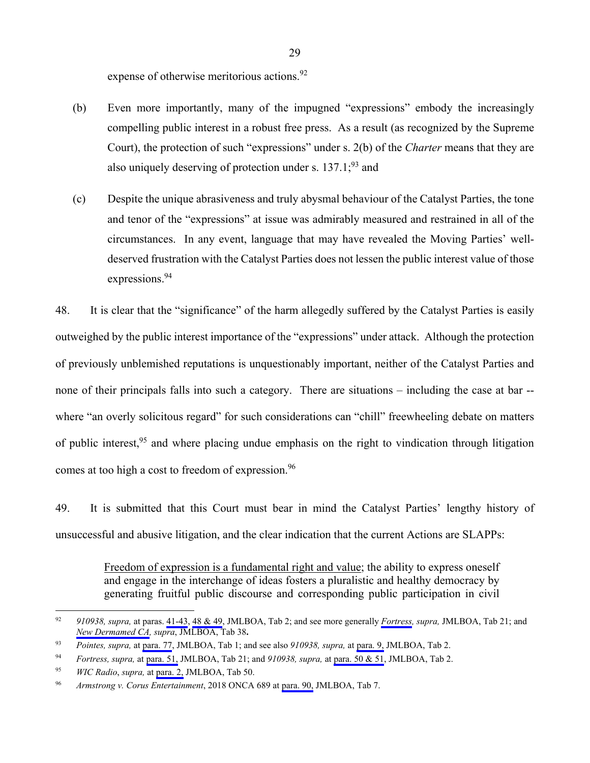expense of otherwise meritorious actions.<sup>92</sup>

- <span id="page-39-0"></span>(b) Even more importantly, many of the impugned "expressions" embody the increasingly compelling public interest in a robust free press. As a result (as recognized by the Supreme Court), the protection of such "expressions" under s. 2(b) of the *Charter* means that they are also uniquely deserving of protection under s.  $137.1$ ;<sup>93</sup> and
- (c) Despite the unique abrasiveness and truly abysmal behaviour of the Catalyst Parties, the tone and tenor of the "expressions" at issue was admirably measured and restrained in all of the circumstances. In any event, language that may have revealed the Moving Parties' welldeserved frustration with the Catalyst Parties does not lessen the public interest value of those expressions.<sup>94</sup>

48. It is clear that the "significance" of the harm allegedly suffered by the Catalyst Parties is easily outweighed by the public interest importance of the "expressions" under attack. Although the protection of previously unblemished reputations is unquestionably important, neither of the Catalyst Parties and none of their principals falls into such a category. There are situations – including the case at bar - where "an overly solicitous regard" for such considerations can "chill" freewheeling debate on matters of public interest,<sup>95</sup> and where placing undue emphasis on the right to vindication through litigation comes at too high a cost to freedom of expression.<sup>96</sup>

49. It is submitted that this Court must bear in mind the Catalyst Parties' lengthy history of unsuccessful and abusive litigation, and the clear indication that the current Actions are SLAPPs:

> Freedom of expression is a fundamental right and value; the ability to express oneself and engage in the interchange of ideas fosters a pluralistic and healthy democracy by generating fruitful public discourse and corresponding public participation in civil

 $92$ 92 *910938, supra,* at paras. [41-43](#page-102-0), [48 & 49,](#page-105-0) JMLBOA, Tab 2; and see more generally *[Fortress,](#page-807-0) supra,* JMLBOA, Tab 21; and *[New Dermamed CA](#page-1488-0), supra*, JMLBOA, Tab 38**.**

<sup>93</sup> *Pointes, supra,* at [para. 77,](#page-64-0) JMLBOA, Tab 1; and see also *910938, supra,* at [para. 9,](#page-90-0) JMLBOA, Tab 2.

<sup>94</sup> *Fortress, supra,* at [para. 51,](#page-824-0) JMLBOA, Tab 21; and *910938, supra,* at [para. 50 & 51,](#page-106-0) JMLBOA, Tab 2.

<sup>95</sup> *WIC Radio*, *supra,* at [para. 2,](#page-1749-0) JMLBOA, Tab 50.

<sup>96</sup> *Armstrong v. Corus Entertainment*, 2018 ONCA 689 at [para. 90,](#page-306-0) JMLBOA, Tab 7.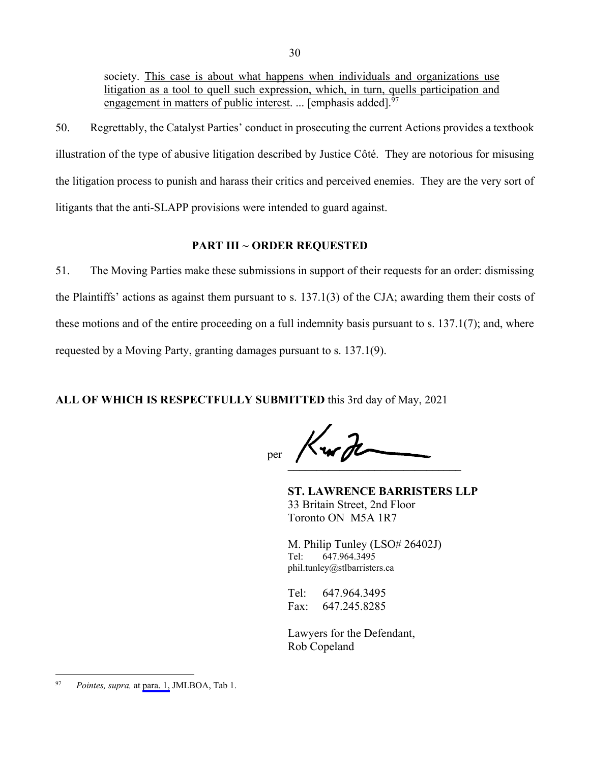<span id="page-40-0"></span>society. This case is about what happens when individuals and organizations use litigation as a tool to quell such expression, which, in turn, quells participation and engagement in matters of public interest. ... [emphasis added]. $97$ 

50. Regrettably, the Catalyst Parties' conduct in prosecuting the current Actions provides a textbook illustration of the type of abusive litigation described by Justice Côté. They are notorious for misusing the litigation process to punish and harass their critics and perceived enemies. They are the very sort of litigants that the anti-SLAPP provisions were intended to guard against.

## **PART III ~ ORDER REQUESTED**

51. The Moving Parties make these submissions in support of their requests for an order: dismissing the Plaintiffs' actions as against them pursuant to s. 137.1(3) of the CJA; awarding them their costs of these motions and of the entire proceeding on a full indemnity basis pursuant to s. 137.1(7); and, where requested by a Moving Party, granting damages pursuant to s. 137.1(9).

**ALL OF WHICH IS RESPECTFULLY SUBMITTED** this 3rd day of May, 2021

**\_\_\_\_\_\_\_\_\_\_\_\_\_\_\_\_\_\_\_\_\_\_\_\_\_\_\_\_\_\_**  per

**ST. LAWRENCE BARRISTERS LLP**  33 Britain Street, 2nd Floor Toronto ON M5A 1R7

M. Philip Tunley (LSO# 26402J) Tel: 647.964.3495 phil.tunley@stlbarristers.ca

Tel: 647.964.3495 Fax: 647.245.8285

Lawyers for the Defendant, Rob Copeland

<sup>97</sup> *Pointes, supra,* at [para. 1,](#page-30-0) JMLBOA, Tab 1.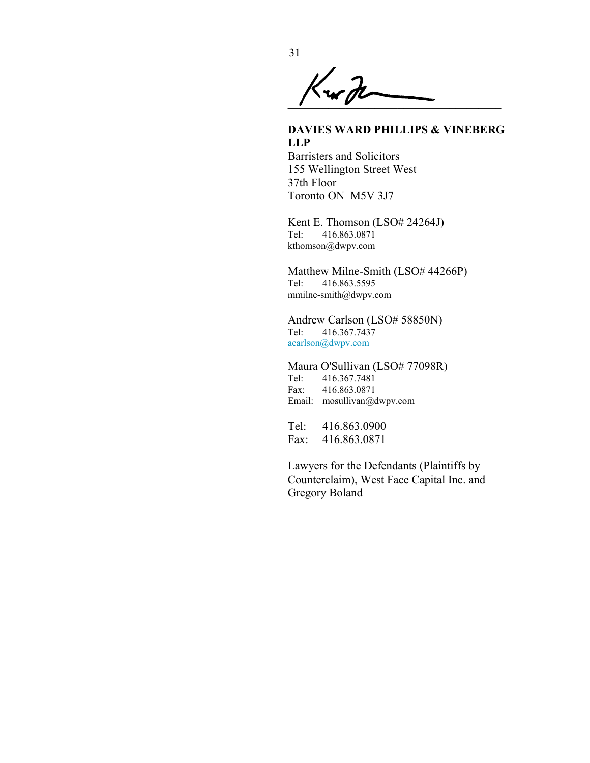<span id="page-41-0"></span> $\overline{\mathcal{K}}$ ur J $\overline{\mathcal{U}}$ 

## **DAVIES WARD PHILLIPS & VINEBERG LLP**

Barristers and Solicitors 155 Wellington Street West 37th Floor Toronto ON M5V 3J7

Kent E. Thomson (LSO# 24264J) Tel: 416.863.0871 kthomson@dwpv.com

Matthew Milne-Smith (LSO# 44266P) Tel: 416.863.5595 mmilne-smith@dwpv.com

Andrew Carlson (LSO# 58850N) Tel: 416.367.7437 acarlson@dwpv.com

Maura O'Sullivan (LSO# 77098R)<br>Tel: 416.367.7481 Tel: 416.367.7481 Fax: 416.863.0871 Email: mosullivan@dwpv.com

Tel: 416.863.0900 Fax: 416.863.0871

Lawyers for the Defendants (Plaintiffs by Counterclaim), West Face Capital Inc. and Gregory Boland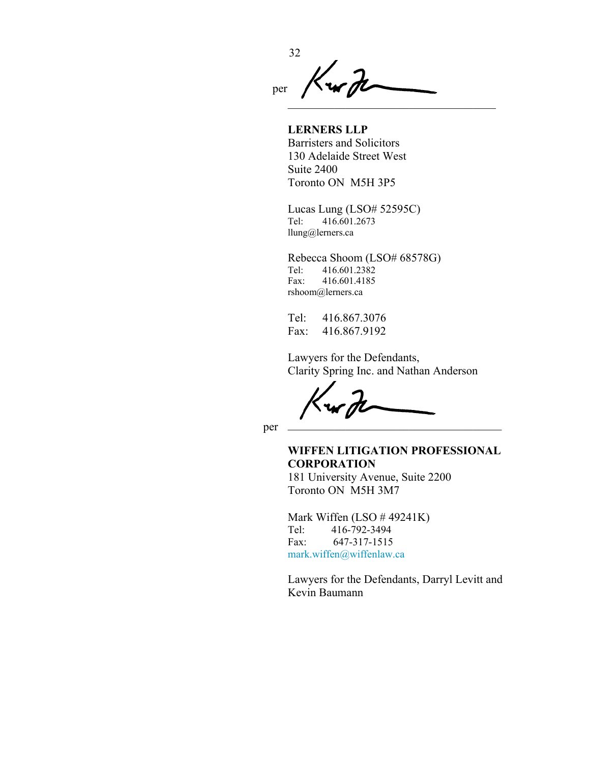<span id="page-42-0"></span>32 u H per  $\mathcal{L}=\mathcal{L}=\mathcal{L}=\mathcal{L}=\mathcal{L}=\mathcal{L}=\mathcal{L}=\mathcal{L}=\mathcal{L}=\mathcal{L}=\mathcal{L}=\mathcal{L}=\mathcal{L}=\mathcal{L}=\mathcal{L}=\mathcal{L}=\mathcal{L}=\mathcal{L}=\mathcal{L}=\mathcal{L}=\mathcal{L}=\mathcal{L}=\mathcal{L}=\mathcal{L}=\mathcal{L}=\mathcal{L}=\mathcal{L}=\mathcal{L}=\mathcal{L}=\mathcal{L}=\mathcal{L}=\mathcal{L}=\mathcal{L}=\mathcal{L}=\mathcal{L}=\mathcal{L}=\mathcal{$ 

**LERNERS LLP** Barristers and Solicitors 130 Adelaide Street West Suite 2400 Toronto ON M5H 3P5

Lucas Lung (LSO# 52595C) Tel: 416.601.2673 llung@lerners.ca

Rebecca Shoom (LSO# 68578G) Tel: 416.601.2382 Fax: 416.601.4185 rshoom@lerners.ca

Tel: 416.867.3076 Fax: 416.867.9192

Lawyers for the Defendants, Clarity Spring Inc. and Nathan Anderson

 $\mathcal{L}=\mathcal{L}=\mathcal{L}=\mathcal{L}=\mathcal{L}=\mathcal{L}=\mathcal{L}=\mathcal{L}=\mathcal{L}=\mathcal{L}=\mathcal{L}=\mathcal{L}=\mathcal{L}=\mathcal{L}=\mathcal{L}=\mathcal{L}=\mathcal{L}=\mathcal{L}=\mathcal{L}=\mathcal{L}=\mathcal{L}=\mathcal{L}=\mathcal{L}=\mathcal{L}=\mathcal{L}=\mathcal{L}=\mathcal{L}=\mathcal{L}=\mathcal{L}=\mathcal{L}=\mathcal{L}=\mathcal{L}=\mathcal{L}=\mathcal{L}=\mathcal{L}=\mathcal{L}=\mathcal{$ 

per

## **WIFFEN LITIGATION PROFESSIONAL CORPORATION**

181 University Avenue, Suite 2200 Toronto ON M5H 3M7

Mark Wiffen (LSO # 49241K) Tel: 416-792-3494 Fax: 647-317-1515 mark.wiffen@wiffenlaw.ca

Lawyers for the Defendants, Darryl Levitt and Kevin Baumann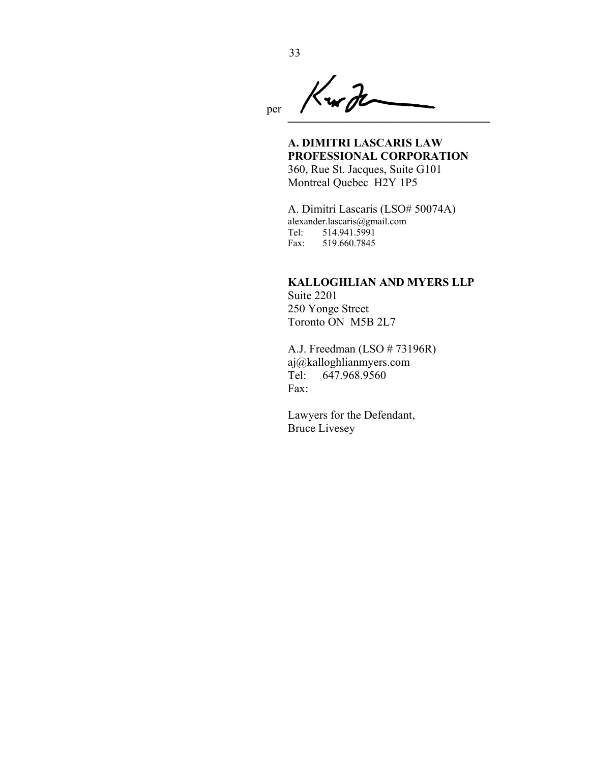<span id="page-43-0"></span>Kurp per**\_\_\_\_\_\_\_\_\_\_\_\_\_\_\_\_\_\_\_\_\_\_\_\_\_\_\_\_\_\_\_\_\_\_\_** 

**A. DIMITRI LASCARIS LAW PROFESSIONAL CORPORATION** 360, Rue St. Jacques, Suite G101 Montreal Quebec H2Y 1P5

A. Dimitri Lascaris (LSO# 50074A) alexander.lascaris@gmail.com Tel: 514.941.5991 Fax: 519.660.7845

#### **KALLOGHLIAN AND MYERS LLP**

Suite 2201 250 Yonge Street Toronto ON M5B 2L7

A.J. Freedman (LSO # 73196R) aj@kalloghlianmyers.com Tel: 647.968.9560 Fax:

Lawyers for the Defendant, Bruce Livesey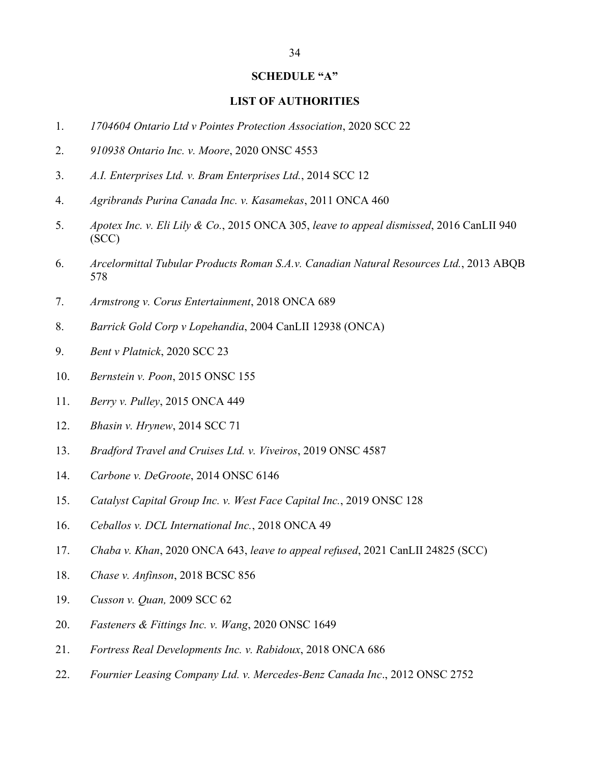#### **SCHEDULE "A"**

### **LIST OF AUTHORITIES**

- <span id="page-44-0"></span>1. *1704604 Ontario Ltd v Pointes Protection Association*, 2020 SCC 22
- 2. *910938 Ontario Inc. v. Moore*, 2020 ONSC 4553
- 3. *A.I. Enterprises Ltd. v. Bram Enterprises Ltd.*, 2014 SCC 12
- 4. *Agribrands Purina Canada Inc. v. Kasamekas*, 2011 ONCA 460
- 5. *Apotex Inc. v. Eli Lily & Co.*, 2015 ONCA 305, *leave to appeal dismissed*, 2016 CanLII 940 (SCC)
- 6. *Arcelormittal Tubular Products Roman S.A.v. Canadian Natural Resources Ltd.*, 2013 ABQB 578
- 7. *Armstrong v. Corus Entertainment*, 2018 ONCA 689
- 8. *Barrick Gold Corp v Lopehandia*, 2004 CanLII 12938 (ONCA)
- 9. *Bent v Platnick*, 2020 SCC 23
- 10. *Bernstein v. Poon*, 2015 ONSC 155
- 11. *Berry v. Pulley*, 2015 ONCA 449
- 12. *Bhasin v. Hrynew*, 2014 SCC 71
- 13. *Bradford Travel and Cruises Ltd. v. Viveiros*, 2019 ONSC 4587
- 14. *Carbone v. DeGroote*, 2014 ONSC 6146
- 15. *Catalyst Capital Group Inc. v. West Face Capital Inc.*, 2019 ONSC 128
- 16. *Ceballos v. DCL International Inc.*, 2018 ONCA 49
- 17. *Chaba v. Khan*, 2020 ONCA 643, *leave to appeal refused*, 2021 CanLII 24825 (SCC)
- 18. *Chase v. Anfinson*, 2018 BCSC 856
- 19. *Cusson v. Quan,* 2009 SCC 62
- 20. *Fasteners & Fittings Inc. v. Wang*, 2020 ONSC 1649
- 21. *Fortress Real Developments Inc. v. Rabidoux*, 2018 ONCA 686
- 22. *Fournier Leasing Company Ltd. v. Mercedes-Benz Canada Inc*., 2012 ONSC 2752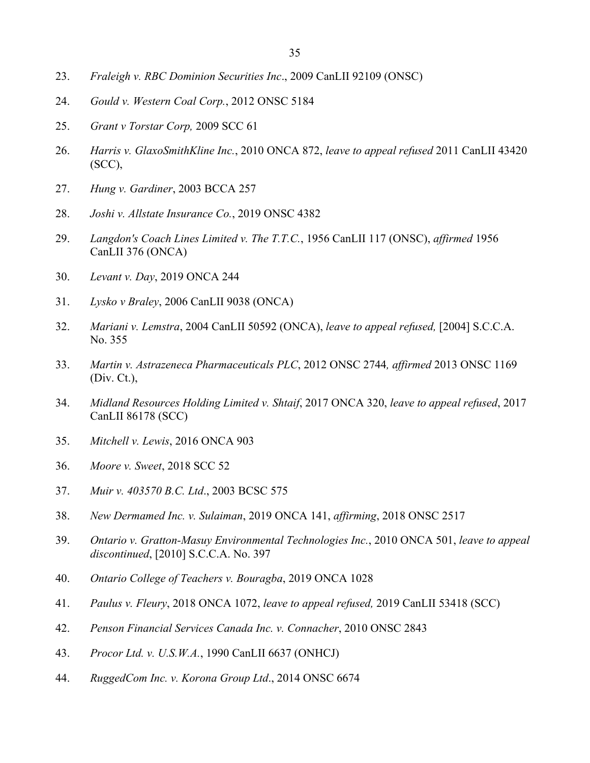- <span id="page-45-0"></span>23. *Fraleigh v. RBC Dominion Securities Inc*., 2009 CanLII 92109 (ONSC)
- 24. *Gould v. Western Coal Corp.*, 2012 ONSC 5184
- 25. *Grant v Torstar Corp,* 2009 SCC 61
- 26. *Harris v. GlaxoSmithKline Inc.*, 2010 ONCA 872, *leave to appeal refused* 2011 CanLII 43420 (SCC),
- 27. *Hung v. Gardiner*, 2003 BCCA 257
- 28. *Joshi v. Allstate Insurance Co.*, 2019 ONSC 4382
- 29. *Langdon's Coach Lines Limited v. The T.T.C.*, 1956 CanLII 117 (ONSC), *affirmed* 1956 CanLII 376 (ONCA)
- 30. *Levant v. Day*, 2019 ONCA 244
- 31. *Lysko v Braley*, 2006 CanLII 9038 (ONCA)
- 32. *Mariani v. Lemstra*, 2004 CanLII 50592 (ONCA), *leave to appeal refused,* [2004] S.C.C.A. No. 355
- 33. *Martin v. Astrazeneca Pharmaceuticals PLC*, 2012 ONSC 2744*, affirmed* 2013 ONSC 1169 (Div. Ct.),
- 34. *Midland Resources Holding Limited v. Shtaif*, 2017 ONCA 320, *leave to appeal refused*, 2017 CanLII 86178 (SCC)
- 35. *Mitchell v. Lewis*, 2016 ONCA 903
- 36. *Moore v. Sweet*, 2018 SCC 52
- 37. *Muir v. 403570 B.C. Ltd*., 2003 BCSC 575
- 38. *New Dermamed Inc. v. Sulaiman*, 2019 ONCA 141, *affirming*, 2018 ONSC 2517
- 39. *Ontario v. Gratton-Masuy Environmental Technologies Inc.*, 2010 ONCA 501, *leave to appeal discontinued*, [2010] S.C.C.A. No. 397
- 40. *Ontario College of Teachers v. Bouragba*, 2019 ONCA 1028
- 41. *Paulus v. Fleury*, 2018 ONCA 1072, *leave to appeal refused,* 2019 CanLII 53418 (SCC)
- 42. *Penson Financial Services Canada Inc. v. Connacher*, 2010 ONSC 2843
- 43. *Procor Ltd. v. U.S.W.A.*, 1990 CanLII 6637 (ONHCJ)
- 44. *RuggedCom Inc. v. Korona Group Ltd*., 2014 ONSC 6674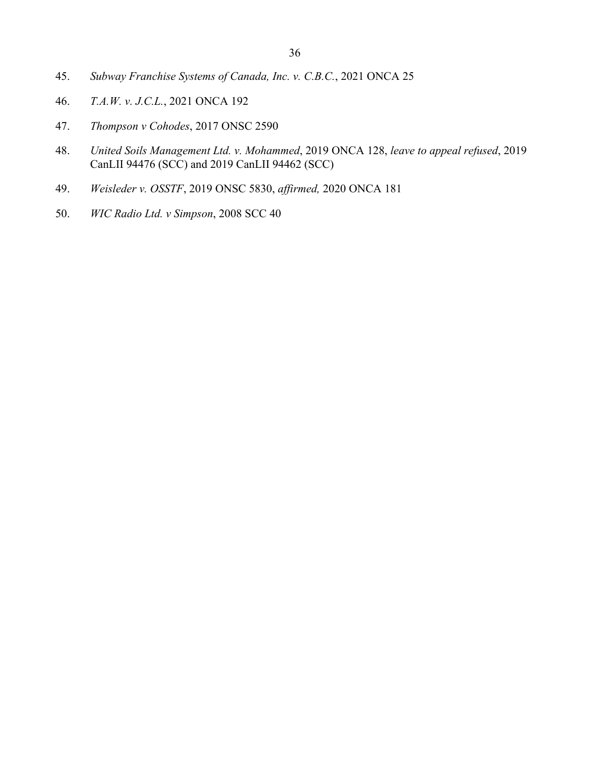- <span id="page-46-0"></span>45. *Subway Franchise Systems of Canada, Inc. v. C.B.C.*, 2021 ONCA 25
- 46. *T.A.W. v. J.C.L.*, 2021 ONCA 192
- 47. *Thompson v Cohodes*, 2017 ONSC 2590
- 48. *United Soils Management Ltd. v. Mohammed*, 2019 ONCA 128, *leave to appeal refused*, 2019 CanLII 94476 (SCC) and 2019 CanLII 94462 (SCC)
- 49. *Weisleder v. OSSTF*, 2019 ONSC 5830, *affirmed,* 2020 ONCA 181
- 50. *WIC Radio Ltd. v Simpson*, 2008 SCC 40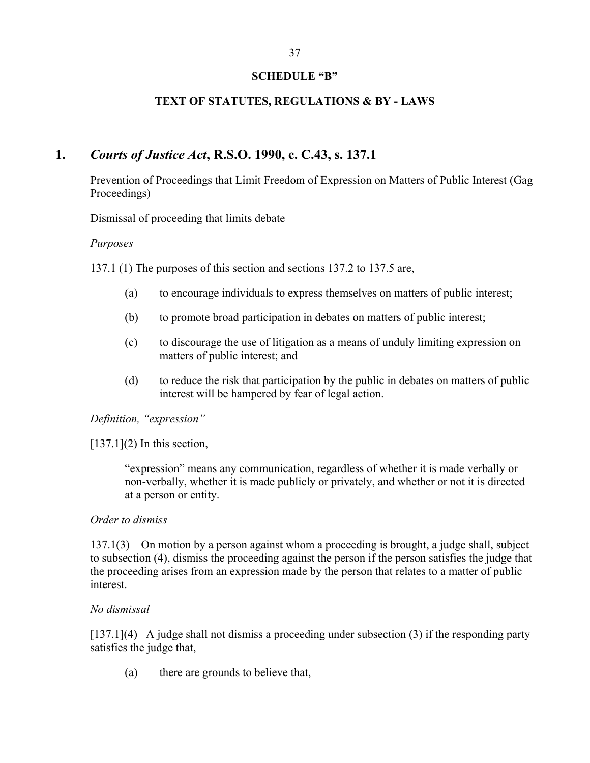## **SCHEDULE "B"**

## **TEXT OF STATUTES, REGULATIONS & BY - LAWS**

# <span id="page-47-0"></span>**1.** *Courts of Justice Act***, R.S.O. 1990, c. C.43, s. 137.1**

Prevention of Proceedings that Limit Freedom of Expression on Matters of Public Interest (Gag Proceedings)

Dismissal of proceeding that limits debate

#### *Purposes*

137.1 (1) The purposes of this section and sections 137.2 to 137.5 are,

- (a) to encourage individuals to express themselves on matters of public interest;
- (b) to promote broad participation in debates on matters of public interest;
- (c) to discourage the use of litigation as a means of unduly limiting expression on matters of public interest; and
- (d) to reduce the risk that participation by the public in debates on matters of public interest will be hampered by fear of legal action.

*Definition, "expression"* 

 $[137.1](2)$  In this section,

"expression" means any communication, regardless of whether it is made verbally or non-verbally, whether it is made publicly or privately, and whether or not it is directed at a person or entity.

#### *Order to dismiss*

137.1(3) On motion by a person against whom a proceeding is brought, a judge shall, subject to subsection (4), dismiss the proceeding against the person if the person satisfies the judge that the proceeding arises from an expression made by the person that relates to a matter of public interest.

#### *No dismissal*

[137.1](4) A judge shall not dismiss a proceeding under subsection (3) if the responding party satisfies the judge that,

(a) there are grounds to believe that,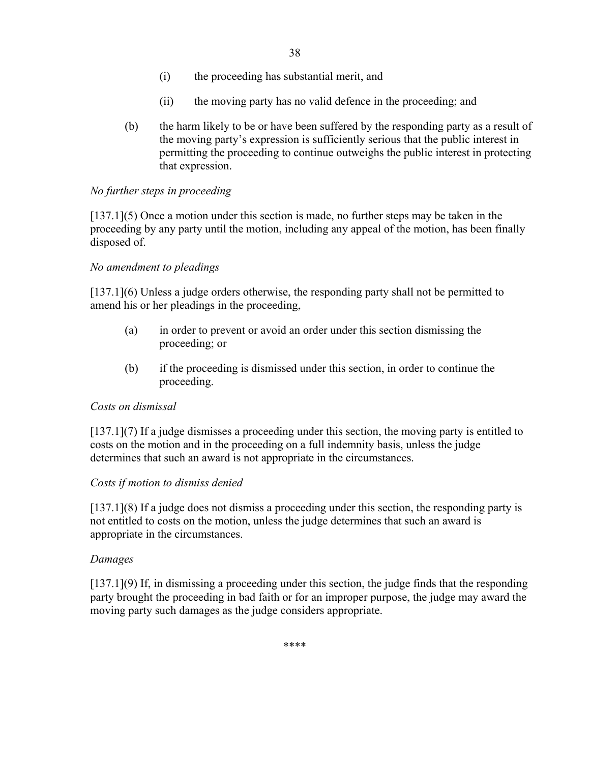- (i) the proceeding has substantial merit, and
- (ii) the moving party has no valid defence in the proceeding; and
- <span id="page-48-0"></span>(b) the harm likely to be or have been suffered by the responding party as a result of the moving party's expression is sufficiently serious that the public interest in permitting the proceeding to continue outweighs the public interest in protecting that expression.

## *No further steps in proceeding*

[137.1](5) Once a motion under this section is made, no further steps may be taken in the proceeding by any party until the motion, including any appeal of the motion, has been finally disposed of.

## *No amendment to pleadings*

[137.1](6) Unless a judge orders otherwise, the responding party shall not be permitted to amend his or her pleadings in the proceeding,

- (a) in order to prevent or avoid an order under this section dismissing the proceeding; or
- (b) if the proceeding is dismissed under this section, in order to continue the proceeding.

## *Costs on dismissal*

[137.1](7) If a judge dismisses a proceeding under this section, the moving party is entitled to costs on the motion and in the proceeding on a full indemnity basis, unless the judge determines that such an award is not appropriate in the circumstances.

## *Costs if motion to dismiss denied*

[137.1](8) If a judge does not dismiss a proceeding under this section, the responding party is not entitled to costs on the motion, unless the judge determines that such an award is appropriate in the circumstances.

## *Damages*

[137.1](9) If, in dismissing a proceeding under this section, the judge finds that the responding party brought the proceeding in bad faith or for an improper purpose, the judge may award the moving party such damages as the judge considers appropriate.

\*\*\*\*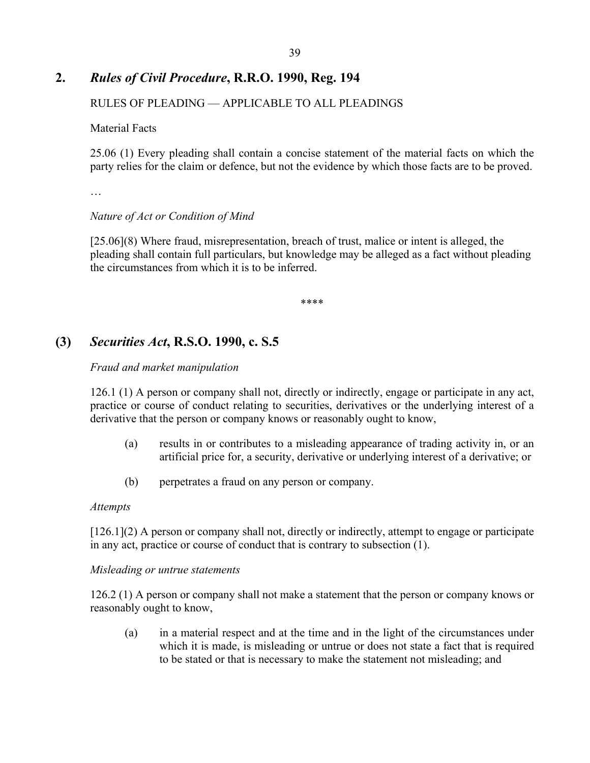# <span id="page-49-0"></span>**2.** *Rules of Civil Procedure***, R.R.O. 1990, Reg. 194**

## RULES OF PLEADING — APPLICABLE TO ALL PLEADINGS

Material Facts

25.06 (1) Every pleading shall contain a concise statement of the material facts on which the party relies for the claim or defence, but not the evidence by which those facts are to be proved.

…

### *Nature of Act or Condition of Mind*

[25.06](8) Where fraud, misrepresentation, breach of trust, malice or intent is alleged, the pleading shall contain full particulars, but knowledge may be alleged as a fact without pleading the circumstances from which it is to be inferred.

\*\*\*\*

## **(3)** *Securities Act***, R.S.O. 1990, c. S.5**

### *Fraud and market manipulation*

126.1 (1) A person or company shall not, directly or indirectly, engage or participate in any act, practice or course of conduct relating to securities, derivatives or the underlying interest of a derivative that the person or company knows or reasonably ought to know,

- (a) results in or contributes to a misleading appearance of trading activity in, or an artificial price for, a security, derivative or underlying interest of a derivative; or
- (b) perpetrates a fraud on any person or company.

#### *Attempts*

[126.1](2) A person or company shall not, directly or indirectly, attempt to engage or participate in any act, practice or course of conduct that is contrary to subsection (1).

#### *Misleading or untrue statements*

126.2 (1) A person or company shall not make a statement that the person or company knows or reasonably ought to know,

(a) in a material respect and at the time and in the light of the circumstances under which it is made, is misleading or untrue or does not state a fact that is required to be stated or that is necessary to make the statement not misleading; and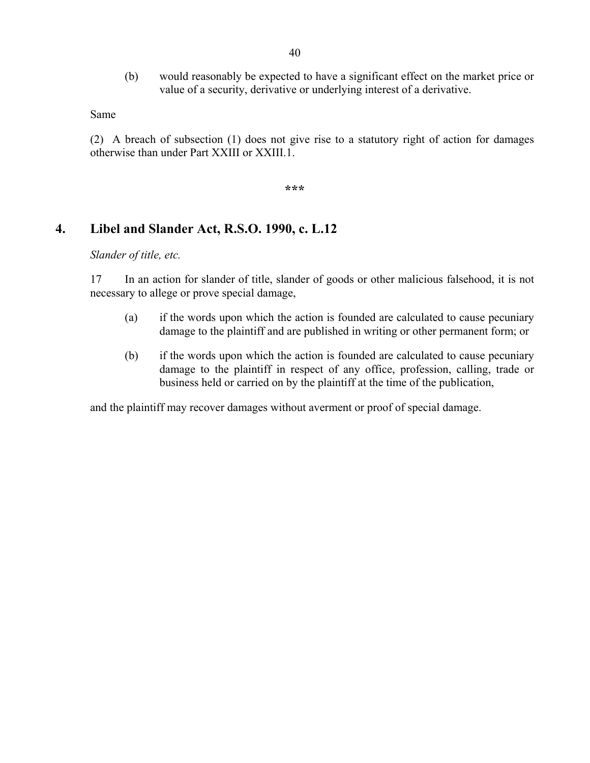(b) would reasonably be expected to have a significant effect on the market price or value of a security, derivative or underlying interest of a derivative.

<span id="page-50-0"></span>Same

(2) A breach of subsection (1) does not give rise to a statutory right of action for damages otherwise than under Part XXIII or XXIII.1.

**\*\*\*** 

## **4. Libel and Slander Act, R.S.O. 1990, c. L.12**

*Slander of title, etc.* 

17 In an action for slander of title, slander of goods or other malicious falsehood, it is not necessary to allege or prove special damage,

- (a) if the words upon which the action is founded are calculated to cause pecuniary damage to the plaintiff and are published in writing or other permanent form; or
- (b) if the words upon which the action is founded are calculated to cause pecuniary damage to the plaintiff in respect of any office, profession, calling, trade or business held or carried on by the plaintiff at the time of the publication,

and the plaintiff may recover damages without averment or proof of special damage.